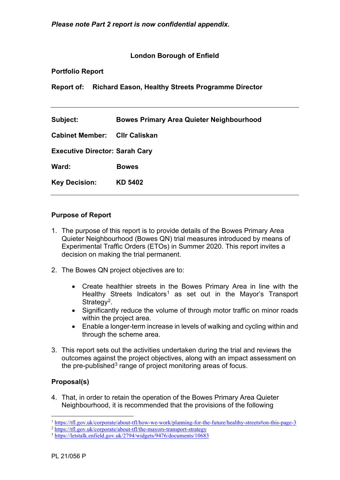# **London Borough of Enfield**

### **Portfolio Report**

**Report of: Richard Eason, Healthy Streets Programme Director**

### **Purpose of Report**

- 1. The purpose of this report is to provide details of the Bowes Primary Area Quieter Neighbourhood (Bowes QN) trial measures introduced by means of Experimental Traffic Orders (ETOs) in Summer 2020. This report invites a decision on making the trial permanent.
- 2. The Bowes QN project objectives are to:
	- Create healthier streets in the Bowes Primary Area in line with the Healthy Streets Indicators<sup>[1](#page-0-0)</sup> as set out in the Mayor's Transport Strategy<sup>2</sup>.
	- Significantly reduce the volume of through motor traffic on minor roads within the project area.
	- Enable a longer-term increase in levels of walking and cycling within and through the scheme area.
- 3. This report sets out the activities undertaken during the trial and reviews the outcomes against the project objectives, along with an impact assessment on the pre-published<sup>[3](#page-0-2)</sup> range of project monitoring areas of focus.

### **Proposal(s)**

4. That, in order to retain the operation of the Bowes Primary Area Quieter Neighbourhood, it is recommended that the provisions of the following

<span id="page-0-0"></span><sup>1</sup> <https://tfl.gov.uk/corporate/about-tfl/how-we-work/planning-for-the-future/healthy-streets#on-this-page-3>

<sup>&</sup>lt;sup>2</sup> <https://tfl.gov.uk/corporate/about-tfl/the-mayors-transport-strategy>

<span id="page-0-2"></span><span id="page-0-1"></span><sup>3</sup> <https://letstalk.enfield.gov.uk/2794/widgets/9476/documents/10683>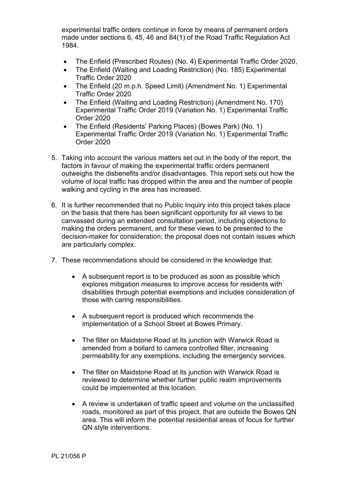experimental traffic orders continue in force by means of permanent orders made under sections 6, 45, 46 and 84(1) of the Road Traffic Regulation Act 1984.

- The Enfield (Prescribed Routes) (No. 4) Experimental Traffic Order 2020,
- The Enfield (Waiting and Loading Restriction) (No. 185) Experimental Traffic Order 2020
- The Enfield (20 m.p.h. Speed Limit) (Amendment No. 1) Experimental Traffic Order 2020
- The Enfield (Waiting and Loading Restriction) (Amendment No. 170) Experimental Traffic Order 2019 (Variation No. 1) Experimental Traffic Order 2020
- The Enfield (Residents' Parking Places) (Bowes Park) (No. 1) Experimental Traffic Order 2019 (Variation No. 1) Experimental Traffic Order 2020
- 5. Taking into account the various matters set out in the body of the report, the factors in favour of making the experimental traffic orders permanent outweighs the disbenefits and/or disadvantages. This report sets out how the volume of local traffic has dropped within the area and the number of people walking and cycling in the area has increased.
- 6. It is further recommended that no Public Inquiry into this project takes place on the basis that there has been significant opportunity for all views to be canvassed during an extended consultation period, including objections to making the orders permanent, and for these views to be presented to the decision-maker for consideration; the proposal does not contain issues which are particularly complex.
- 7. These recommendations should be considered in the knowledge that:
	- A subsequent report is to be produced as soon as possible which explores mitigation measures to improve access for residents with disabilities through potential exemptions and includes consideration of those with caring responsibilities.
	- A subsequent report is produced which recommends the implementation of a School Street at Bowes Primary.
	- The filter on Maidstone Road at its junction with Warwick Road is amended from a bollard to camera controlled filter, increasing permeability for any exemptions, including the emergency services.
	- The filter on Maidstone Road at its junction with Warwick Road is reviewed to determine whether further public realm improvements could be implemented at this location.
	- A review is undertaken of traffic speed and volume on the unclassified roads, monitored as part of this project, that are outside the Bowes QN area. This will inform the potential residential areas of focus for further QN style interventions.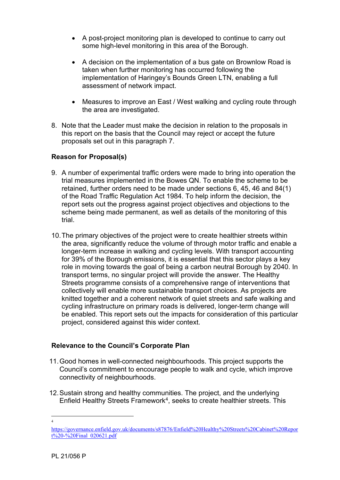- A post-project monitoring plan is developed to continue to carry out some high-level monitoring in this area of the Borough.
- A decision on the implementation of a bus gate on Brownlow Road is taken when further monitoring has occurred following the implementation of Haringey's Bounds Green LTN, enabling a full assessment of network impact.
- Measures to improve an East / West walking and cycling route through the area are investigated.
- 8. Note that the Leader must make the decision in relation to the proposals in this report on the basis that the Council may reject or accept the future proposals set out in this paragraph 7.

## **Reason for Proposal(s)**

- 9. A number of experimental traffic orders were made to bring into operation the trial measures implemented in the Bowes QN. To enable the scheme to be retained, further orders need to be made under sections 6, 45, 46 and 84(1) of the Road Traffic Regulation Act 1984. To help inform the decision, the report sets out the progress against project objectives and objections to the scheme being made permanent, as well as details of the monitoring of this trial.
- 10.The primary objectives of the project were to create healthier streets within the area, significantly reduce the volume of through motor traffic and enable a longer-term increase in walking and cycling levels. With transport accounting for 39% of the Borough emissions, it is essential that this sector plays a key role in moving towards the goal of being a carbon neutral Borough by 2040. In transport terms, no singular project will provide the answer. The Healthy Streets programme consists of a comprehensive range of interventions that collectively will enable more sustainable transport choices. As projects are knitted together and a coherent network of quiet streets and safe walking and cycling infrastructure on primary roads is delivered, longer-term change will be enabled. This report sets out the impacts for consideration of this particular project, considered against this wider context.

### **Relevance to the Council's Corporate Plan**

- 11.Good homes in well-connected neighbourhoods. This project supports the Council's commitment to encourage people to walk and cycle, which improve connectivity of neighbourhoods.
- 12.Sustain strong and healthy communities. The project, and the underlying Enfield Healthy Streets Framework<sup>4</sup>, seeks to create healthier streets. This

<sup>4</sup>

<span id="page-2-0"></span>[https://governance.enfield.gov.uk/documents/s87876/Enfield%20Healthy%20Streets%20Cabinet%20Repor](https://governance.enfield.gov.uk/documents/s87876/Enfield%20Healthy%20Streets%20Cabinet%20Report%20-%20Final_020621.pdf)  $t\frac{9}{20}$ -%20Final\_020621.pdf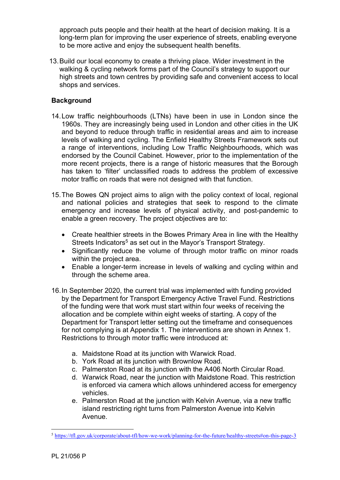approach puts people and their health at the heart of decision making. It is a long-term plan for improving the user experience of streets, enabling everyone to be more active and enjoy the subsequent health benefits.

13.Build our local economy to create a thriving place. Wider investment in the walking & cycling network forms part of the Council's strategy to support our high streets and town centres by providing safe and convenient access to local shops and services.

## **Background**

- 14.Low traffic neighbourhoods (LTNs) have been in use in London since the 1960s. They are increasingly being used in London and other cities in the UK and beyond to reduce through traffic in residential areas and aim to increase levels of walking and cycling. The Enfield Healthy Streets Framework sets out a range of interventions, including Low Traffic Neighbourhoods, which was endorsed by the Council Cabinet. However, prior to the implementation of the more recent projects, there is a range of historic measures that the Borough has taken to 'filter' unclassified roads to address the problem of excessive motor traffic on roads that were not designed with that function.
- 15.The Bowes QN project aims to align with the policy context of local, regional and national policies and strategies that seek to respond to the climate emergency and increase levels of physical activity, and post-pandemic to enable a green recovery. The project objectives are to:
	- Create healthier streets in the Bowes Primary Area in line with the Healthy Streets Indicators<sup>[5](#page-3-0)</sup> as set out in the Mayor's Transport Strategy.
	- Significantly reduce the volume of through motor traffic on minor roads within the project area.
	- Enable a longer-term increase in levels of walking and cycling within and through the scheme area.
- 16.In September 2020, the current trial was implemented with funding provided by the Department for Transport Emergency Active Travel Fund. Restrictions of the funding were that work must start within four weeks of receiving the allocation and be complete within eight weeks of starting. A copy of the Department for Transport letter setting out the timeframe and consequences for not complying is at [Appendix 1.](#page-44-0) The interventions are shown in [Annex 1.](#page-44-1) Restrictions to through motor traffic were introduced at:
	- a. Maidstone Road at its junction with Warwick Road.
	- b. York Road at its junction with Brownlow Road.
	- c. Palmerston Road at its junction with the A406 North Circular Road.
	- d. Warwick Road, near the junction with Maidstone Road. This restriction is enforced via camera which allows unhindered access for emergency vehicles.
	- e. Palmerston Road at the junction with Kelvin Avenue, via a new traffic island restricting right turns from Palmerston Avenue into Kelvin Avenue.

<span id="page-3-0"></span><sup>5</sup> <https://tfl.gov.uk/corporate/about-tfl/how-we-work/planning-for-the-future/healthy-streets#on-this-page-3>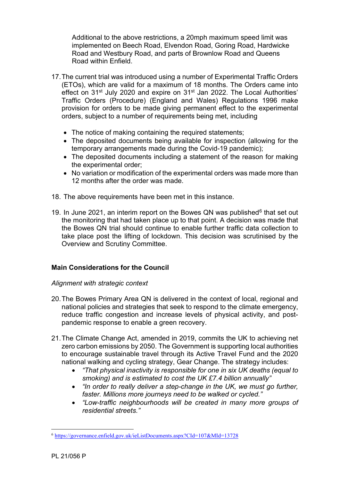Additional to the above restrictions, a 20mph maximum speed limit was implemented on Beech Road, Elvendon Road, Goring Road, Hardwicke Road and Westbury Road, and parts of Brownlow Road and Queens Road within Enfield.

- 17.The current trial was introduced using a number of Experimental Traffic Orders (ETOs), which are valid for a maximum of 18 months. The Orders came into effect on 31<sup>st</sup> July 2020 and expire on 31<sup>st</sup> Jan 2022. The Local Authorities' Traffic Orders (Procedure) (England and Wales) Regulations 1996 make provision for orders to be made giving permanent effect to the experimental orders, subject to a number of requirements being met, including
	- The notice of making containing the required statements;
	- The deposited documents being available for inspection (allowing for the temporary arrangements made during the Covid-19 pandemic);
	- The deposited documents including a statement of the reason for making the experimental order;
	- No variation or modification of the experimental orders was made more than 12 months after the order was made.
- 18. The above requirements have been met in this instance.
- 19. In June 2021, an interim report on the Bowes QN was published $6$  that set out the monitoring that had taken place up to that point. A decision was made that the Bowes QN trial should continue to enable further traffic data collection to take place post the lifting of lockdown. This decision was scrutinised by the Overview and Scrutiny Committee.

# **Main Considerations for the Council**

### *Alignment with strategic context*

- 20.The Bowes Primary Area QN is delivered in the context of local, regional and national policies and strategies that seek to respond to the climate emergency, reduce traffic congestion and increase levels of physical activity, and postpandemic response to enable a green recovery.
- 21.The Climate Change Act, amended in 2019, commits the UK to achieving net zero carbon emissions by 2050. The Government is supporting local authorities to encourage sustainable travel through its Active Travel Fund and the 2020 national walking and cycling strategy, Gear Change. The strategy includes:
	- *"That physical inactivity is responsible for one in six UK deaths (equal to smoking) and is estimated to cost the UK £7.4 billion annually"*
	- *"In order to really deliver a step-change in the UK, we must go further, faster. Millions more journeys need to be walked or cycled."*
	- *"Low-traffic neighbourhoods will be created in many more groups of residential streets."*

<span id="page-4-0"></span><sup>6</sup> <https://governance.enfield.gov.uk/ieListDocuments.aspx?CId=107&MId=13728>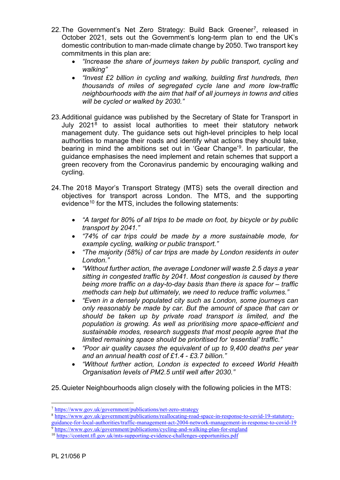- 22. The Government's Net Zero Strategy: Build Back Greener<sup>7</sup>, released in October 2021, sets out the Government's long-term plan to end the UK's domestic contribution to man-made climate change by 2050. Two transport key commitments in this plan are:
	- *"Increase the share of journeys taken by public transport, cycling and walking"*
	- *"Invest £2 billion in cycling and walking, building first hundreds, then thousands of miles of segregated cycle lane and more low-traffic neighbourhoods with the aim that half of all journeys in towns and cities will be cycled or walked by 2030."*
- 23.Additional guidance was published by the Secretary of State for Transport in July 2021[8](#page-5-1) to assist local authorities to meet their statutory network management duty. The guidance sets out high-level principles to help local authorities to manage their roads and identify what actions they should take, bearing in mind the ambitions set out in 'Gear Change'[9.](#page-5-2) In particular, the guidance emphasises the need implement and retain schemes that support a green recovery from the Coronavirus pandemic by encouraging walking and cycling.
- 24.The 2018 Mayor's Transport Strategy (MTS) sets the overall direction and objectives for transport across London. The MTS, and the supporting evidence<sup>[10](#page-5-3)</sup> for the MTS, includes the following statements:
	- *"A target for 80% of all trips to be made on foot, by bicycle or by public transport by 2041."*
	- *"74% of car trips could be made by a more sustainable mode, for example cycling, walking or public transport."*
	- *"The majority (58%) of car trips are made by London residents in outer London."*
	- *"Without further action, the average Londoner will waste 2.5 days a year sitting in congested traffic by 2041. Most congestion is caused by there being more traffic on a day-to-day basis than there is space for – traffic methods can help but ultimately, we need to reduce traffic volumes."*
	- *"Even in a densely populated city such as London, some journeys can only reasonably be made by car. But the amount of space that can or should be taken up by private road transport is limited, and the population is growing. As well as prioritising more space-efficient and sustainable modes, research suggests that most people agree that the limited remaining space should be prioritised for 'essential' traffic."*
	- *"Poor air quality causes the equivalent of up to 9,400 deaths per year and an annual health cost of £1.4 - £3.7 billion."*
	- *"Without further action, London is expected to exceed World Health Organisation levels of PM2.5 until well after 2030."*
- 25.Quieter Neighbourhoods align closely with the following policies in the MTS:

<span id="page-5-0"></span><sup>7</sup> <https://www.gov.uk/government/publications/net-zero-strategy>

<span id="page-5-1"></span><sup>8</sup> [https://www.gov.uk/government/publications/reallocating-road-space-in-response-to-covid-19-statutory](https://www.gov.uk/government/publications/reallocating-road-space-in-response-to-covid-19-statutory-guidance-for-local-authorities/traffic-management-act-2004-network-management-in-response-to-covid-19)[guidance-for-local-authorities/traffic-management-act-2004-network-management-in-response-to-covid-19](https://www.gov.uk/government/publications/reallocating-road-space-in-response-to-covid-19-statutory-guidance-for-local-authorities/traffic-management-act-2004-network-management-in-response-to-covid-19) <sup>9</sup> <https://www.gov.uk/government/publications/cycling-and-walking-plan-for-england>

<span id="page-5-3"></span><span id="page-5-2"></span><sup>10</sup> <https://content.tfl.gov.uk/mts-supporting-evidence-challenges-opportunities.pdf>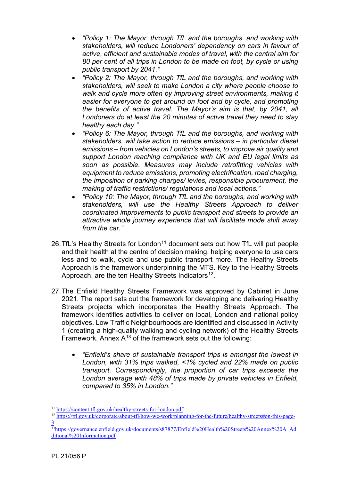- *"Policy 1: The Mayor, through TfL and the boroughs, and working with stakeholders, will reduce Londoners' dependency on cars in favour of active, efficient and sustainable modes of travel, with the central aim for 80 per cent of all trips in London to be made on foot, by cycle or using public transport by 2041."*
- *"Policy 2: The Mayor, through TfL and the boroughs, and working with stakeholders, will seek to make London a city where people choose to walk and cycle more often by improving street environments, making it easier for everyone to get around on foot and by cycle, and promoting the benefits of active travel. The Mayor's aim is that, by 2041, all Londoners do at least the 20 minutes of active travel they need to stay healthy each day."*
- *"Policy 6: The Mayor, through TfL and the boroughs, and working with stakeholders, will take action to reduce emissions – in particular diesel emissions – from vehicles on London's streets, to improve air quality and support London reaching compliance with UK and EU legal limits as soon as possible. Measures may include retrofitting vehicles with equipment to reduce emissions, promoting electrification, road charging, the imposition of parking charges/ levies, responsible procurement, the making of traffic restrictions/ regulations and local actions."*
- *"Policy 10: The Mayor, through TfL and the boroughs, and working with stakeholders, will use the Healthy Streets Approach to deliver coordinated improvements to public transport and streets to provide an attractive whole journey experience that will facilitate mode shift away from the car."*
- 26. TfL's Healthy Streets for London<sup>[11](#page-6-0)</sup> document sets out how TfL will put people and their health at the centre of decision making, helping everyone to use cars less and to walk, cycle and use public transport more. The Healthy Streets Approach is the framework underpinning the MTS. Key to the Healthy Streets Approach, are the ten Healthy Streets Indicators<sup>12</sup>.
- 27.The Enfield Healthy Streets Framework was approved by Cabinet in June 2021. The report sets out the framework for developing and delivering Healthy Streets projects which incorporates the Healthy Streets Approach. The framework identifies activities to deliver on local, London and national policy objectives. Low Traffic Neighbourhoods are identified and discussed in Activity 1 (creating a high-quality walking and cycling network) of the Healthy Streets Framework. Annex  $A^{13}$  $A^{13}$  $A^{13}$  of the framework sets out the following:
	- *"Enfield's share of sustainable transport trips is amongst the lowest in London, with 31% trips walked, <1% cycled and 22% made on public transport. Correspondingly, the proportion of car trips exceeds the London average with 48% of trips made by private vehicles in Enfield, compared to 35% in London."*

<span id="page-6-1"></span><sup>12</sup> [https://tfl.gov.uk/corporate/about-tfl/how-we-work/planning-for-the-future/healthy-streets#on-this-page-](https://tfl.gov.uk/corporate/about-tfl/how-we-work/planning-for-the-future/healthy-streets#on-this-page-3)[3](https://tfl.gov.uk/corporate/about-tfl/how-we-work/planning-for-the-future/healthy-streets#on-this-page-3)

<span id="page-6-0"></span><sup>11</sup> <https://content.tfl.gov.uk/healthy-streets-for-london.pdf>

<span id="page-6-2"></span><sup>&</sup>lt;sup>13</sup>https://governance.enfield.gov.uk/documents/s87877/Enfield%20Health%20Streets%20Annex%20A\_Ad [ditional%20Information.pdf](https://governance.enfield.gov.uk/documents/s87877/Enfield%20Health%20Streets%20Annex%20A_Additional%20Information.pdf)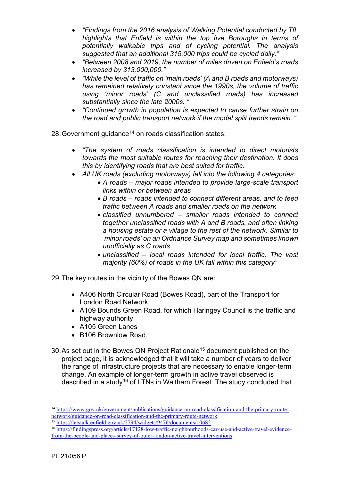- *"Findings from the 2016 analysis of Walking Potential conducted by TfL highlights that Enfield is within the top five Boroughs in terms of potentially walkable trips and of cycling potential. The analysis suggested that an additional 315,000 trips could be cycled daily."*
- *"Between 2008 and 2019, the number of miles driven on Enfield's roads increased by 313,000,000."*
- *"While the level of traffic on 'main roads' (A and B roads and motorways) has remained relatively constant since the 1990s, the volume of traffic using 'minor roads' (C and unclassified roads) has increased substantially since the late 2000s. "*
- *"Continued growth in population is expected to cause further strain on the road and public transport network if the modal split trends remain.* "

28. Government quidance<sup>[14](#page-7-0)</sup> on roads classification states:

- *"The system of roads classification is intended to direct motorists towards the most suitable routes for reaching their destination. It does this by identifying roads that are best suited for traffic.*
- *All UK roads (excluding motorways) fall into the following 4 categories:*
	- *A roads – major roads intended to provide large-scale transport links within or between areas*
	- *B roads – roads intended to connect different areas, and to feed traffic between A roads and smaller roads on the network*
	- *classified unnumbered – smaller roads intended to connect together unclassified roads with A and B roads, and often linking a housing estate or a village to the rest of the network. Similar to 'minor roads' on an Ordnance Survey map and sometimes known unofficially as C roads*
	- *unclassified – local roads intended for local traffic. The vast majority (60%) of roads in the UK fall within this category"*

29.The key routes in the vicinity of the Bowes QN are:

- A406 North Circular Road (Bowes Road), part of the Transport for London Road Network
- A109 Bounds Green Road, for which Haringey Council is the traffic and highway authority
- A105 Green Lanes
- B106 Brownlow Road.
- 30. As set out in the Bowes QN Project Rationale<sup>[15](#page-7-1)</sup> document published on the project page, it is acknowledged that it will take a number of years to deliver the range of infrastructure projects that are necessary to enable longer-term change. An example of longer-term growth in active travel observed is described in a study<sup>[16](#page-8-0)</sup> of LTNs in Waltham Forest. The study concluded that

<sup>14</sup> [https://www.gov.uk/government/publications/guidance-on-road-classification-and-the-primary-route](https://www.gov.uk/government/publications/guidance-on-road-classification-and-the-primary-route-network/guidance-on-road-classification-and-the-primary-route-network)[network/guidance-on-road-classification-and-the-primary-route-network](https://www.gov.uk/government/publications/guidance-on-road-classification-and-the-primary-route-network/guidance-on-road-classification-and-the-primary-route-network)

<span id="page-7-0"></span><sup>&</sup>lt;sup>15</sup> <https://letstalk.enfield.gov.uk/2794/widgets/9476/documents/10682>

<span id="page-7-1"></span><sup>16</sup> [https://findingspress.org/article/17128-low-traffic-neighbourhoods-car-use-and-active-travel-evidence](https://findingspress.org/article/17128-low-traffic-neighbourhoods-car-use-and-active-travel-evidence-from-the-people-and-places-survey-of-outer-london-active-travel-interventions)[from-the-people-and-places-survey-of-outer-london-active-travel-interventions](https://findingspress.org/article/17128-low-traffic-neighbourhoods-car-use-and-active-travel-evidence-from-the-people-and-places-survey-of-outer-london-active-travel-interventions)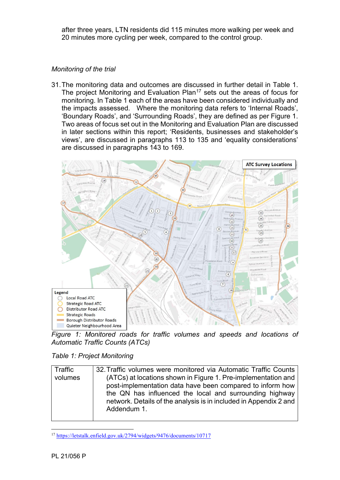after three years, LTN residents did 115 minutes more walking per week and 20 minutes more cycling per week, compared to the control group.

## *Monitoring of the trial*

31.The monitoring data and outcomes are discussed in further detail in [Table 1.](#page-8-1) The project Monitoring and Evaluation Plan<sup>[17](#page-8-3)</sup> sets out the areas of focus for monitoring. In Table 1 each of the areas have been considered individually and the impacts assessed. Where the monitoring data refers to 'Internal Roads', 'Boundary Roads', and 'Surrounding Roads', they are defined as per [Figure 1.](#page-8-2) Two areas of focus set out in the Monitoring and Evaluation Plan are discussed in later sections within this report; 'Residents, businesses and stakeholder's views', are discussed in paragraphs 113 to 135 and 'equality considerations' are discussed in paragraphs 143 to 169.



<span id="page-8-2"></span>*Figure 1: Monitored roads for traffic volumes and speeds and locations of Automatic Traffic Counts (ATCs)*

<span id="page-8-1"></span>

|  |  | Table 1: Project Monitoring |
|--|--|-----------------------------|
|--|--|-----------------------------|

| Traffic | 32. Traffic volumes were monitored via Automatic Traffic Counts   |
|---------|-------------------------------------------------------------------|
| volumes | (ATCs) at locations shown in Figure 1. Pre-implementation and     |
|         | post-implementation data have been compared to inform how         |
|         | the QN has influenced the local and surrounding highway           |
|         | network. Details of the analysis is in included in Appendix 2 and |
|         | Addendum 1.                                                       |
|         |                                                                   |

<span id="page-8-3"></span><span id="page-8-0"></span><sup>17</sup> <https://letstalk.enfield.gov.uk/2794/widgets/9476/documents/10717>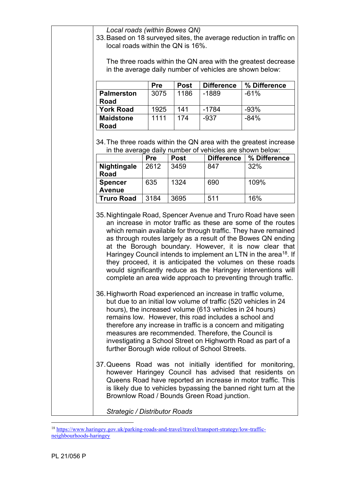| Local roads (within Bowes QN) |  |
|-------------------------------|--|
|-------------------------------|--|

33.Based on 18 surveyed sites, the average reduction in traffic on local roads within the QN is 16%.

The three roads within the QN area with the greatest decrease in the average daily number of vehicles are shown below:

|                   | <b>Pre</b> | <b>Post</b> | <b>Difference</b> | % Difference |
|-------------------|------------|-------------|-------------------|--------------|
| <b>Palmerston</b> | 3075       | 1186        | $-1889$           | $-61%$       |
| Road              |            |             |                   |              |
| <b>York Road</b>  | 1925       | 141         | $-1784$           | $-93%$       |
| <b>Maidstone</b>  | 1111       | 174         | $-937$            | $-84%$       |
| Road              |            |             |                   |              |

34.The three roads within the QN area with the greatest increase in the average daily number of vehicles are shown below:

|                    | <b>Pre</b> | <b>Post</b> | <b>Difference</b> | % Difference |
|--------------------|------------|-------------|-------------------|--------------|
| <b>Nightingale</b> | 2612       | 3459        | 847               | 32%          |
| <b>Road</b>        |            |             |                   |              |
| <b>Spencer</b>     | 635        | 1324        | 690               | 109%         |
| <b>Avenue</b>      |            |             |                   |              |
| Truro Road         | 3184       | 3695        | 511               | 16%          |

35.Nightingale Road, Spencer Avenue and Truro Road have seen an increase in motor traffic as these are some of the routes which remain available for through traffic. They have remained as through routes largely as a result of the Bowes QN ending at the Borough boundary. However, it is now clear that Haringey Council intends to implement an LTN in the area<sup>[18](#page-9-0)</sup>. If they proceed, it is anticipated the volumes on these roads would significantly reduce as the Haringey interventions will complete an area wide approach to preventing through traffic.

- 36.Highworth Road experienced an increase in traffic volume, but due to an initial low volume of traffic (520 vehicles in 24 hours), the increased volume (613 vehicles in 24 hours) remains low. However, this road includes a school and therefore any increase in traffic is a concern and mitigating measures are recommended. Therefore, the Council is investigating a School Street on Highworth Road as part of a further Borough wide rollout of School Streets.
- 37.Queens Road was not initially identified for monitoring, however Haringey Council has advised that residents on Queens Road have reported an increase in motor traffic. This is likely due to vehicles bypassing the banned right turn at the Brownlow Road / Bounds Green Road junction.

*Strategic / Distributor Roads*

<span id="page-9-0"></span><sup>18</sup> [https://www.haringey.gov.uk/parking-roads-and-travel/travel/transport-strategy/low-traffic](https://www.haringey.gov.uk/parking-roads-and-travel/travel/transport-strategy/low-traffic-neighbourhoods-haringey)[neighbourhoods-haringey](https://www.haringey.gov.uk/parking-roads-and-travel/travel/transport-strategy/low-traffic-neighbourhoods-haringey)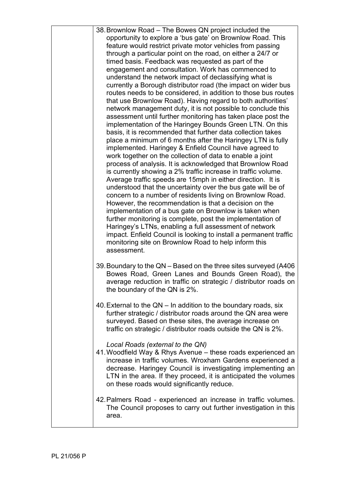| 38. Brownlow Road – The Bowes QN project included the                                                                         |
|-------------------------------------------------------------------------------------------------------------------------------|
| opportunity to explore a 'bus gate' on Brownlow Road. This                                                                    |
| feature would restrict private motor vehicles from passing                                                                    |
| through a particular point on the road, on either a 24/7 or                                                                   |
| timed basis. Feedback was requested as part of the                                                                            |
| engagement and consultation. Work has commenced to                                                                            |
| understand the network impact of declassifying what is                                                                        |
| currently a Borough distributor road (the impact on wider bus                                                                 |
| routes needs to be considered, in addition to those bus routes<br>that use Brownlow Road). Having regard to both authorities' |
| network management duty, it is not possible to conclude this                                                                  |
| assessment until further monitoring has taken place post the                                                                  |
| implementation of the Haringey Bounds Green LTN. On this                                                                      |
| basis, it is recommended that further data collection takes                                                                   |
| place a minimum of 6 months after the Haringey LTN is fully                                                                   |
| implemented. Haringey & Enfield Council have agreed to                                                                        |
| work together on the collection of data to enable a joint                                                                     |
| process of analysis. It is acknowledged that Brownlow Road                                                                    |
| is currently showing a 2% traffic increase in traffic volume.                                                                 |
| Average traffic speeds are 15mph in either direction. It is<br>understood that the uncertainty over the bus gate will be of   |
| concern to a number of residents living on Brownlow Road.                                                                     |
| However, the recommendation is that a decision on the                                                                         |
| implementation of a bus gate on Brownlow is taken when                                                                        |
| further monitoring is complete, post the implementation of                                                                    |
| Haringey's LTNs, enabling a full assessment of network                                                                        |
| impact. Enfield Council is looking to install a permanent traffic                                                             |
| monitoring site on Brownlow Road to help inform this                                                                          |
| assessment.                                                                                                                   |
| 39. Boundary to the QN - Based on the three sites surveyed (A406)                                                             |
| Bowes Road, Green Lanes and Bounds Green Road), the                                                                           |
| average reduction in traffic on strategic / distributor roads on                                                              |
| the boundary of the QN is 2%.                                                                                                 |
|                                                                                                                               |
| 40. External to the QN – In addition to the boundary roads, six                                                               |
| further strategic / distributor roads around the QN area were                                                                 |
| surveyed. Based on these sites, the average increase on<br>traffic on strategic / distributor roads outside the QN is 2%.     |
|                                                                                                                               |
| Local Roads (external to the QN)                                                                                              |
| 41. Woodfield Way & Rhys Avenue - these roads experienced an                                                                  |
| increase in traffic volumes. Wroxham Gardens experienced a                                                                    |
| decrease. Haringey Council is investigating implementing an                                                                   |
| LTN in the area. If they proceed, it is anticipated the volumes                                                               |
| on these roads would significantly reduce.                                                                                    |
| 42. Palmers Road - experienced an increase in traffic volumes.                                                                |
| The Council proposes to carry out further investigation in this                                                               |
| area.                                                                                                                         |
|                                                                                                                               |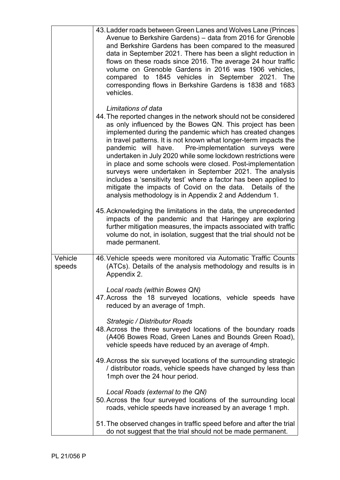|                   | 43. Ladder roads between Green Lanes and Wolves Lane (Princes<br>Avenue to Berkshire Gardens) - data from 2016 for Grenoble<br>and Berkshire Gardens has been compared to the measured<br>data in September 2021. There has been a slight reduction in<br>flows on these roads since 2016. The average 24 hour traffic<br>volume on Grenoble Gardens in 2016 was 1906 vehicles,<br>compared to 1845 vehicles in September 2021. The<br>corresponding flows in Berkshire Gardens is 1838 and 1683<br>vehicles.                                                                                                                                                                                                                                                                                        |
|-------------------|------------------------------------------------------------------------------------------------------------------------------------------------------------------------------------------------------------------------------------------------------------------------------------------------------------------------------------------------------------------------------------------------------------------------------------------------------------------------------------------------------------------------------------------------------------------------------------------------------------------------------------------------------------------------------------------------------------------------------------------------------------------------------------------------------|
|                   | Limitations of data<br>44. The reported changes in the network should not be considered<br>as only influenced by the Bowes QN. This project has been<br>implemented during the pandemic which has created changes<br>in travel patterns. It is not known what longer-term impacts the<br>pandemic will have. Pre-implementation surveys were<br>undertaken in July 2020 while some lockdown restrictions were<br>in place and some schools were closed. Post-implementation<br>surveys were undertaken in September 2021. The analysis<br>includes a 'sensitivity test' where a factor has been applied to<br>mitigate the impacts of Covid on the data. Details of the<br>analysis methodology is in Appendix 2 and Addendum 1.<br>45. Acknowledging the limitations in the data, the unprecedented |
|                   | impacts of the pandemic and that Haringey are exploring<br>further mitigation measures, the impacts associated with traffic<br>volume do not, in isolation, suggest that the trial should not be<br>made permanent.                                                                                                                                                                                                                                                                                                                                                                                                                                                                                                                                                                                  |
| Vehicle<br>speeds | 46. Vehicle speeds were monitored via Automatic Traffic Counts<br>(ATCs). Details of the analysis methodology and results is in<br>Appendix 2.                                                                                                                                                                                                                                                                                                                                                                                                                                                                                                                                                                                                                                                       |
|                   | Local roads (within Bowes QN)<br>47. Across the 18 surveyed locations, vehicle speeds have<br>reduced by an average of 1mph.                                                                                                                                                                                                                                                                                                                                                                                                                                                                                                                                                                                                                                                                         |
|                   | <b>Strategic / Distributor Roads</b><br>48. Across the three surveyed locations of the boundary roads<br>(A406 Bowes Road, Green Lanes and Bounds Green Road),<br>vehicle speeds have reduced by an average of 4mph.                                                                                                                                                                                                                                                                                                                                                                                                                                                                                                                                                                                 |
|                   | 49. Across the six surveyed locations of the surrounding strategic<br>/ distributor roads, vehicle speeds have changed by less than<br>1mph over the 24 hour period.                                                                                                                                                                                                                                                                                                                                                                                                                                                                                                                                                                                                                                 |
|                   | Local Roads (external to the QN)<br>50. Across the four surveyed locations of the surrounding local<br>roads, vehicle speeds have increased by an average 1 mph.                                                                                                                                                                                                                                                                                                                                                                                                                                                                                                                                                                                                                                     |
|                   | 51. The observed changes in traffic speed before and after the trial<br>do not suggest that the trial should not be made permanent.                                                                                                                                                                                                                                                                                                                                                                                                                                                                                                                                                                                                                                                                  |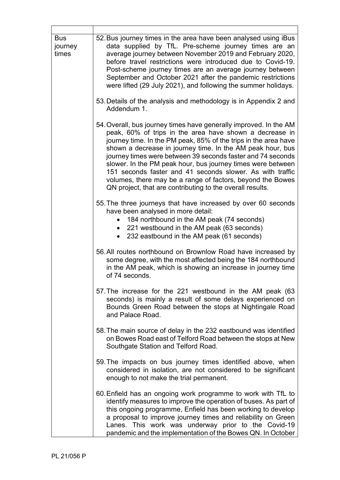| <b>Bus</b><br>journey<br>times | 52. Bus journey times in the area have been analysed using iBus<br>data supplied by TfL. Pre-scheme journey times are an<br>average journey between November 2019 and February 2020,<br>before travel restrictions were introduced due to Covid-19.<br>Post-scheme journey times are an average journey between<br>September and October 2021 after the pandemic restrictions<br>were lifted (29 July 2021), and following the summer holidays.                                                                                                                                     |
|--------------------------------|-------------------------------------------------------------------------------------------------------------------------------------------------------------------------------------------------------------------------------------------------------------------------------------------------------------------------------------------------------------------------------------------------------------------------------------------------------------------------------------------------------------------------------------------------------------------------------------|
|                                | 53. Details of the analysis and methodology is in Appendix 2 and<br>Addendum 1.                                                                                                                                                                                                                                                                                                                                                                                                                                                                                                     |
|                                | 54. Overall, bus journey times have generally improved. In the AM<br>peak, 60% of trips in the area have shown a decrease in<br>journey time. In the PM peak, 85% of the trips in the area have<br>shown a decrease in journey time. In the AM peak hour, bus<br>journey times were between 39 seconds faster and 74 seconds<br>slower. In the PM peak hour, bus journey times were between<br>151 seconds faster and 41 seconds slower. As with traffic<br>volumes, there may be a range of factors, beyond the Bowes<br>QN project, that are contributing to the overall results. |
|                                | 55. The three journeys that have increased by over 60 seconds<br>have been analysed in more detail:<br>184 northbound in the AM peak (74 seconds)<br>221 westbound in the AM peak (63 seconds)<br>232 eastbound in the AM peak (61 seconds)                                                                                                                                                                                                                                                                                                                                         |
|                                | 56. All routes northbound on Brownlow Road have increased by<br>some degree, with the most affected being the 184 northbound<br>in the AM peak, which is showing an increase in journey time<br>of 74 seconds.                                                                                                                                                                                                                                                                                                                                                                      |
|                                | 57. The increase for the 221 westbound in the AM peak (63<br>seconds) is mainly a result of some delays experienced on<br>Bounds Green Road between the stops at Nightingale Road<br>and Palace Road.                                                                                                                                                                                                                                                                                                                                                                               |
|                                | 58. The main source of delay in the 232 eastbound was identified<br>on Bowes Road east of Telford Road between the stops at New<br>Southgate Station and Telford Road.                                                                                                                                                                                                                                                                                                                                                                                                              |
|                                | 59. The impacts on bus journey times identified above, when<br>considered in isolation, are not considered to be significant<br>enough to not make the trial permanent.                                                                                                                                                                                                                                                                                                                                                                                                             |
|                                | 60. Enfield has an ongoing work programme to work with TfL to<br>identify measures to improve the operation of buses. As part of<br>this ongoing programme, Enfield has been working to develop<br>a proposal to improve journey times and reliability on Green<br>Lanes. This work was underway prior to the Covid-19<br>pandemic and the implementation of the Bowes QN. In October                                                                                                                                                                                               |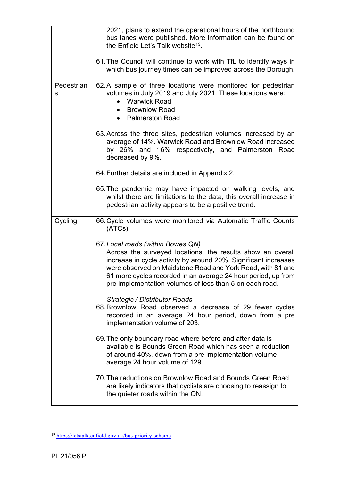|                 | 2021, plans to extend the operational hours of the northbound<br>bus lanes were published. More information can be found on<br>the Enfield Let's Talk website <sup>19</sup> .<br>61. The Council will continue to work with TfL to identify ways in<br>which bus journey times can be improved across the Borough.                                           |
|-----------------|--------------------------------------------------------------------------------------------------------------------------------------------------------------------------------------------------------------------------------------------------------------------------------------------------------------------------------------------------------------|
| Pedestrian<br>s | 62. A sample of three locations were monitored for pedestrian<br>volumes in July 2019 and July 2021. These locations were:<br><b>Warwick Road</b><br>$\bullet$<br><b>Brownlow Road</b><br>• Palmerston Road                                                                                                                                                  |
|                 | 63. Across the three sites, pedestrian volumes increased by an<br>average of 14%. Warwick Road and Brownlow Road increased<br>by 26% and 16% respectively, and Palmerston Road<br>decreased by 9%.                                                                                                                                                           |
|                 | 64. Further details are included in Appendix 2.                                                                                                                                                                                                                                                                                                              |
|                 | 65. The pandemic may have impacted on walking levels, and<br>whilst there are limitations to the data, this overall increase in<br>pedestrian activity appears to be a positive trend.                                                                                                                                                                       |
| Cycling         | 66. Cycle volumes were monitored via Automatic Traffic Counts<br>(ATCs).                                                                                                                                                                                                                                                                                     |
|                 | 67. Local roads (within Bowes QN)<br>Across the surveyed locations, the results show an overall<br>increase in cycle activity by around 20%. Significant increases<br>were observed on Maidstone Road and York Road, with 81 and<br>61 more cycles recorded in an average 24 hour period, up from<br>pre implementation volumes of less than 5 on each road. |
|                 | Strategic / Distributor Roads<br>68. Brownlow Road observed a decrease of 29 fewer cycles<br>recorded in an average 24 hour period, down from a pre<br>implementation volume of 203.                                                                                                                                                                         |
|                 | 69. The only boundary road where before and after data is<br>available is Bounds Green Road which has seen a reduction<br>of around 40%, down from a pre implementation volume<br>average 24 hour volume of 129.                                                                                                                                             |
|                 | 70. The reductions on Brownlow Road and Bounds Green Road<br>are likely indicators that cyclists are choosing to reassign to<br>the quieter roads within the QN.                                                                                                                                                                                             |

<span id="page-13-0"></span><sup>19</sup> <https://letstalk.enfield.gov.uk/bus-priority-scheme>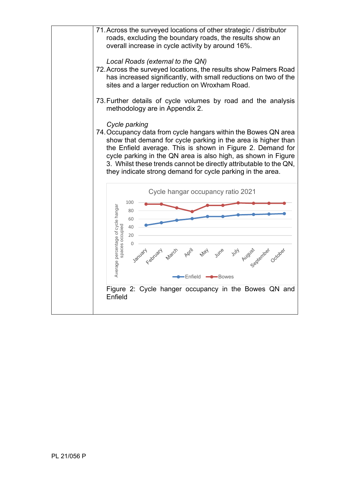<span id="page-14-0"></span>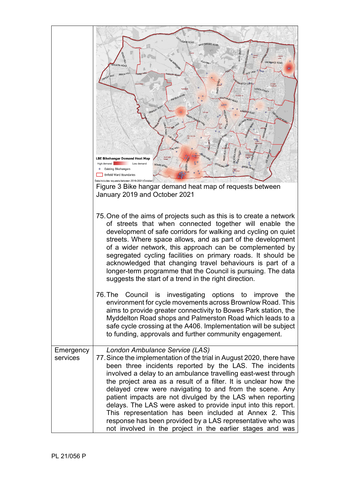|                       | <b>ATTLEGATE ROAD</b><br>WHITEWEBBS ROAD                                                                                                                                                                                                                                                                                                                                                                                                                                                                                                                                                                                                                                             |
|-----------------------|--------------------------------------------------------------------------------------------------------------------------------------------------------------------------------------------------------------------------------------------------------------------------------------------------------------------------------------------------------------------------------------------------------------------------------------------------------------------------------------------------------------------------------------------------------------------------------------------------------------------------------------------------------------------------------------|
|                       | <b>CLAY HILL</b><br>ORDNANCE ROAD<br><b>IGGON ROAD</b><br>HOE LANE                                                                                                                                                                                                                                                                                                                                                                                                                                                                                                                                                                                                                   |
|                       | <b>FRANK HILL</b><br>BEECH HILL<br>CAMLET WAY<br><b>RHATCH LANE</b><br>BAKER STR<br>Highlands<br>GREEN STREET<br>ENFIELD ROAD<br>SOUTHBURY ROAD                                                                                                                                                                                                                                                                                                                                                                                                                                                                                                                                      |
|                       | <b>BRAMLEY</b><br>Linke<br><b>ROAD</b><br>VALLEY RO<br><b>JALE</b>                                                                                                                                                                                                                                                                                                                                                                                                                                                                                                                                                                                                                   |
|                       | HE MALL<br><b>VICTORIA ROAL</b><br><b>HASELBURY</b><br>LBE Bikehangar Demand Heat Map                                                                                                                                                                                                                                                                                                                                                                                                                                                                                                                                                                                                |
|                       | High demand<br>Low demand<br>BOWES ROAD<br>TERLING WAS<br><b>Existing Bikehangars</b><br>Enfield Ward Boundaries                                                                                                                                                                                                                                                                                                                                                                                                                                                                                                                                                                     |
|                       | Data includes requests between 2019-2021(Octobe<br>Figure 3 Bike hangar demand heat map of requests between                                                                                                                                                                                                                                                                                                                                                                                                                                                                                                                                                                          |
|                       | January 2019 and October 2021                                                                                                                                                                                                                                                                                                                                                                                                                                                                                                                                                                                                                                                        |
|                       | 75. One of the aims of projects such as this is to create a network<br>of streets that when connected together will enable the<br>development of safe corridors for walking and cycling on quiet<br>streets. Where space allows, and as part of the development<br>of a wider network, this approach can be complemented by<br>segregated cycling facilities on primary roads. It should be<br>acknowledged that changing travel behaviours is part of a<br>longer-term programme that the Council is pursuing. The data<br>suggests the start of a trend in the right direction.                                                                                                    |
|                       | 76. The Council is investigating options to improve<br>the<br>environment for cycle movements across Brownlow Road. This<br>aims to provide greater connectivity to Bowes Park station, the<br>Myddelton Road shops and Palmerston Road which leads to a<br>safe cycle crossing at the A406. Implementation will be subject<br>to funding, approvals and further community engagement.                                                                                                                                                                                                                                                                                               |
| Emergency<br>services | London Ambulance Service (LAS)<br>77. Since the implementation of the trial in August 2020, there have<br>been three incidents reported by the LAS. The incidents<br>involved a delay to an ambulance travelling east-west through<br>the project area as a result of a filter. It is unclear how the<br>delayed crew were navigating to and from the scene. Any<br>patient impacts are not divulged by the LAS when reporting<br>delays. The LAS were asked to provide input into this report.<br>This representation has been included at Annex 2. This<br>response has been provided by a LAS representative who was<br>not involved in the project in the earlier stages and was |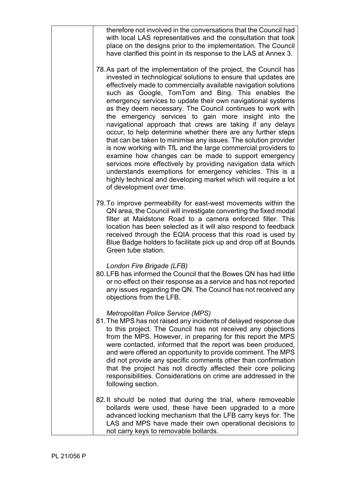|  | therefore not involved in the conversations that the Council had<br>with local LAS representatives and the consultation that took<br>place on the designs prior to the implementation. The Council<br>have clarified this point in its response to the LAS at Annex 3.                                                                                                                                                                                                                                                                                                                                                                                                                                                                                                                                                                                                                                                                                                                                |
|--|-------------------------------------------------------------------------------------------------------------------------------------------------------------------------------------------------------------------------------------------------------------------------------------------------------------------------------------------------------------------------------------------------------------------------------------------------------------------------------------------------------------------------------------------------------------------------------------------------------------------------------------------------------------------------------------------------------------------------------------------------------------------------------------------------------------------------------------------------------------------------------------------------------------------------------------------------------------------------------------------------------|
|  | 78. As part of the implementation of the project, the Council has<br>invested in technological solutions to ensure that updates are<br>effectively made to commercially available navigation solutions<br>such as Google, TomTom and Bing. This enables the<br>emergency services to update their own navigational systems<br>as they deem necessary. The Council continues to work with<br>the emergency services to gain more insight into the<br>navigational approach that crews are taking if any delays<br>occur, to help determine whether there are any further steps<br>that can be taken to minimise any issues. The solution provider<br>is now working with TfL and the large commercial providers to<br>examine how changes can be made to support emergency<br>services more effectively by providing navigation data which<br>understands exemptions for emergency vehicles. This is a<br>highly technical and developing market which will require a lot<br>of development over time. |
|  | 79. To improve permeability for east-west movements within the<br>QN area, the Council will investigate converting the fixed modal<br>filter at Maidstone Road to a camera enforced filter. This<br>location has been selected as it will also respond to feedback<br>received through the EQIA process that this road is used by<br>Blue Badge holders to facilitate pick up and drop off at Bounds<br>Green tube station.                                                                                                                                                                                                                                                                                                                                                                                                                                                                                                                                                                           |
|  | London Fire Brigade (LFB)<br>80. LFB has informed the Council that the Bowes QN has had little<br>or no effect on their response as a service and has not reported<br>any issues regarding the QN. The Council has not received any<br>objections from the LFB.                                                                                                                                                                                                                                                                                                                                                                                                                                                                                                                                                                                                                                                                                                                                       |
|  | <b>Metropolitan Police Service (MPS)</b><br>81. The MPS has not raised any incidents of delayed response due<br>to this project. The Council has not received any objections<br>from the MPS. However, in preparing for this report the MPS<br>were contacted, informed that the report was been produced,<br>and were offered an opportunity to provide comment. The MPS<br>did not provide any specific comments other than confirmation<br>that the project has not directly affected their core policing<br>responsibilities. Considerations on crime are addressed in the<br>following section.                                                                                                                                                                                                                                                                                                                                                                                                  |
|  | 82. It should be noted that during the trial, where removeable<br>bollards were used, these have been upgraded to a more<br>advanced locking mechanism that the LFB carry keys for. The<br>LAS and MPS have made their own operational decisions to<br>not carry keys to removable bollards.                                                                                                                                                                                                                                                                                                                                                                                                                                                                                                                                                                                                                                                                                                          |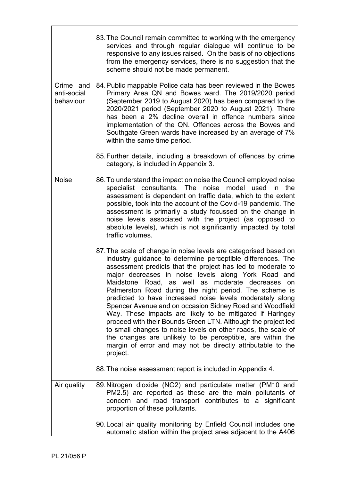|                                       | 83. The Council remain committed to working with the emergency<br>services and through regular dialogue will continue to be<br>responsive to any issues raised. On the basis of no objections<br>from the emergency services, there is no suggestion that the<br>scheme should not be made permanent.                                                                                                                                                                                                                                                                                                                                                                                                                                                                                                                                |
|---------------------------------------|--------------------------------------------------------------------------------------------------------------------------------------------------------------------------------------------------------------------------------------------------------------------------------------------------------------------------------------------------------------------------------------------------------------------------------------------------------------------------------------------------------------------------------------------------------------------------------------------------------------------------------------------------------------------------------------------------------------------------------------------------------------------------------------------------------------------------------------|
| Crime and<br>anti-social<br>behaviour | 84. Public mappable Police data has been reviewed in the Bowes<br>Primary Area QN and Bowes ward. The 2019/2020 period<br>(September 2019 to August 2020) has been compared to the<br>2020/2021 period (September 2020 to August 2021). There<br>has been a 2% decline overall in offence numbers since<br>implementation of the QN. Offences across the Bowes and<br>Southgate Green wards have increased by an average of 7%<br>within the same time period.                                                                                                                                                                                                                                                                                                                                                                       |
|                                       | 85. Further details, including a breakdown of offences by crime<br>category, is included in Appendix 3.                                                                                                                                                                                                                                                                                                                                                                                                                                                                                                                                                                                                                                                                                                                              |
| <b>Noise</b>                          | 86. To understand the impact on noise the Council employed noise<br>specialist consultants. The noise model used in the<br>assessment is dependent on traffic data, which to the extent<br>possible, took into the account of the Covid-19 pandemic. The<br>assessment is primarily a study focussed on the change in<br>noise levels associated with the project (as opposed to<br>absolute levels), which is not significantly impacted by total<br>traffic volumes.                                                                                                                                                                                                                                                                                                                                                               |
|                                       | 87. The scale of change in noise levels are categorised based on<br>industry guidance to determine perceptible differences. The<br>assessment predicts that the project has led to moderate to<br>major decreases in noise levels along York Road and<br>Maidstone Road, as well as moderate decreases on<br>Palmerston Road during the night period. The scheme is<br>predicted to have increased noise levels moderately along<br>Spencer Avenue and on occasion Sidney Road and Woodfield<br>Way. These impacts are likely to be mitigated if Haringey<br>proceed with their Bounds Green LTN. Although the project led<br>to small changes to noise levels on other roads, the scale of<br>the changes are unlikely to be perceptible, are within the<br>margin of error and may not be directly attributable to the<br>project. |
|                                       | 88. The noise assessment report is included in Appendix 4.                                                                                                                                                                                                                                                                                                                                                                                                                                                                                                                                                                                                                                                                                                                                                                           |
| Air quality                           | 89. Nitrogen dioxide (NO2) and particulate matter (PM10 and<br>PM2.5) are reported as these are the main pollutants of<br>concern and road transport contributes to a significant<br>proportion of these pollutants.                                                                                                                                                                                                                                                                                                                                                                                                                                                                                                                                                                                                                 |
|                                       | 90. Local air quality monitoring by Enfield Council includes one<br>automatic station within the project area adjacent to the A406                                                                                                                                                                                                                                                                                                                                                                                                                                                                                                                                                                                                                                                                                                   |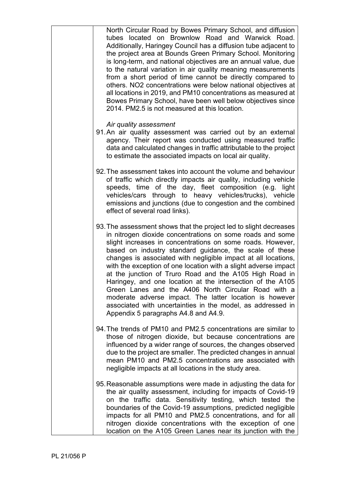| North Circular Road by Bowes Primary School, and diffusion<br>tubes located on Brownlow Road and Warwick Road.<br>Additionally, Haringey Council has a diffusion tube adjacent to<br>the project area at Bounds Green Primary School. Monitoring<br>is long-term, and national objectives are an annual value, due<br>to the natural variation in air quality meaning measurements<br>from a short period of time cannot be directly compared to<br>others. NO2 concentrations were below national objectives at<br>all locations in 2019, and PM10 concentrations as measured at<br>Bowes Primary School, have been well below objectives since<br>2014. PM2.5 is not measured at this location.                                              |
|------------------------------------------------------------------------------------------------------------------------------------------------------------------------------------------------------------------------------------------------------------------------------------------------------------------------------------------------------------------------------------------------------------------------------------------------------------------------------------------------------------------------------------------------------------------------------------------------------------------------------------------------------------------------------------------------------------------------------------------------|
| Air quality assessment<br>91. An air quality assessment was carried out by an external<br>agency. Their report was conducted using measured traffic<br>data and calculated changes in traffic attributable to the project<br>to estimate the associated impacts on local air quality.                                                                                                                                                                                                                                                                                                                                                                                                                                                          |
| 92. The assessment takes into account the volume and behaviour<br>of traffic which directly impacts air quality, including vehicle<br>speeds, time of the day, fleet composition (e.g. light<br>vehicles/cars through to heavy vehicles/trucks), vehicle<br>emissions and junctions (due to congestion and the combined<br>effect of several road links).                                                                                                                                                                                                                                                                                                                                                                                      |
| 93. The assessment shows that the project led to slight decreases<br>in nitrogen dioxide concentrations on some roads and some<br>slight increases in concentrations on some roads. However,<br>based on industry standard guidance, the scale of these<br>changes is associated with negligible impact at all locations,<br>with the exception of one location with a slight adverse impact<br>at the junction of Truro Road and the A105 High Road in<br>Haringey, and one location at the intersection of the A105<br>Green Lanes and the A406 North Circular Road with a<br>moderate adverse impact. The latter location is however<br>associated with uncertainties in the model, as addressed in<br>Appendix 5 paragraphs A4.8 and A4.9. |
| 94. The trends of PM10 and PM2.5 concentrations are similar to<br>those of nitrogen dioxide, but because concentrations are<br>influenced by a wider range of sources, the changes observed<br>due to the project are smaller. The predicted changes in annual<br>mean PM10 and PM2.5 concentrations are associated with<br>negligible impacts at all locations in the study area.                                                                                                                                                                                                                                                                                                                                                             |
| 95. Reasonable assumptions were made in adjusting the data for<br>the air quality assessment, including for impacts of Covid-19<br>on the traffic data. Sensitivity testing, which tested the<br>boundaries of the Covid-19 assumptions, predicted negligible<br>impacts for all PM10 and PM2.5 concentrations, and for all<br>nitrogen dioxide concentrations with the exception of one<br>location on the A105 Green Lanes near its junction with the                                                                                                                                                                                                                                                                                        |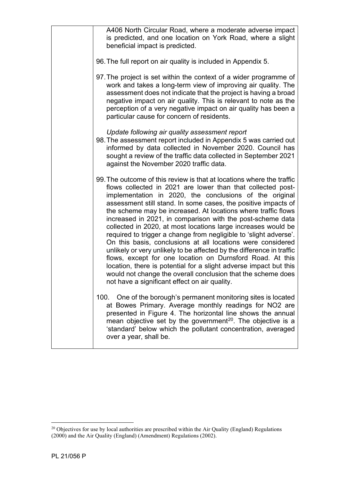| A406 North Circular Road, where a moderate adverse impact<br>is predicted, and one location on York Road, where a slight<br>beneficial impact is predicted.                                                                                                                                                                                                                                                                                                                                                                                                                                                                                                                                                                                                                                                                                                                                                                       |
|-----------------------------------------------------------------------------------------------------------------------------------------------------------------------------------------------------------------------------------------------------------------------------------------------------------------------------------------------------------------------------------------------------------------------------------------------------------------------------------------------------------------------------------------------------------------------------------------------------------------------------------------------------------------------------------------------------------------------------------------------------------------------------------------------------------------------------------------------------------------------------------------------------------------------------------|
| 96. The full report on air quality is included in Appendix 5.                                                                                                                                                                                                                                                                                                                                                                                                                                                                                                                                                                                                                                                                                                                                                                                                                                                                     |
| 97. The project is set within the context of a wider programme of<br>work and takes a long-term view of improving air quality. The<br>assessment does not indicate that the project is having a broad<br>negative impact on air quality. This is relevant to note as the<br>perception of a very negative impact on air quality has been a<br>particular cause for concern of residents.                                                                                                                                                                                                                                                                                                                                                                                                                                                                                                                                          |
| Update following air quality assessment report<br>98. The assessment report included in Appendix 5 was carried out<br>informed by data collected in November 2020. Council has<br>sought a review of the traffic data collected in September 2021<br>against the November 2020 traffic data.                                                                                                                                                                                                                                                                                                                                                                                                                                                                                                                                                                                                                                      |
| 99. The outcome of this review is that at locations where the traffic<br>flows collected in 2021 are lower than that collected post-<br>implementation in 2020, the conclusions of the original<br>assessment still stand. In some cases, the positive impacts of<br>the scheme may be increased. At locations where traffic flows<br>increased in 2021, in comparison with the post-scheme data<br>collected in 2020, at most locations large increases would be<br>required to trigger a change from negligible to 'slight adverse'.<br>On this basis, conclusions at all locations were considered<br>unlikely or very unlikely to be affected by the difference in traffic<br>flows, except for one location on Durnsford Road. At this<br>location, there is potential for a slight adverse impact but this<br>would not change the overall conclusion that the scheme does<br>not have a significant effect on air quality. |
| 100. One of the borough's permanent monitoring sites is located<br>at Bowes Primary. Average monthly readings for NO2 are<br>presented in Figure 4. The horizontal line shows the annual<br>mean objective set by the government <sup>20</sup> . The objective is a<br>'standard' below which the pollutant concentration, averaged<br>over a year, shall be.                                                                                                                                                                                                                                                                                                                                                                                                                                                                                                                                                                     |

<span id="page-19-0"></span> $20$  Objectives for use by local authorities are prescribed within the Air Quality (England) Regulations (2000) and the Air Quality (England) (Amendment) Regulations (2002).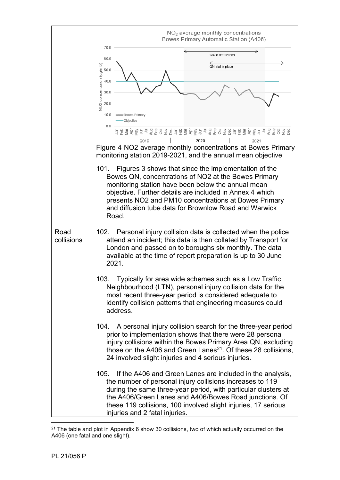<span id="page-20-0"></span>

|            | $NO2$ average monthly concentrations<br>Bowes Primary Automatic Station (A406)                                                                                                            |  |  |  |  |
|------------|-------------------------------------------------------------------------------------------------------------------------------------------------------------------------------------------|--|--|--|--|
|            | 70.0<br>Covid restrictions<br>60.0                                                                                                                                                        |  |  |  |  |
|            | QN trial in place<br>50.0                                                                                                                                                                 |  |  |  |  |
|            | NO2 concentraion (ug/m3)<br>40.0                                                                                                                                                          |  |  |  |  |
|            | 30.0<br>20.0                                                                                                                                                                              |  |  |  |  |
|            | 10.0<br>•Bowes Primary                                                                                                                                                                    |  |  |  |  |
|            | Objective<br>0.0<br><u>直통 효 호 호 글 글 힘 함 요 호 딩 필 뚜 호 호 글 글 힘 함 요 호 딩 필 또 줄 호 글 글 힘 함 요 중 딩</u>                                                                                             |  |  |  |  |
|            | 2020<br>2019<br>2021<br>Figure 4 NO2 average monthly concentrations at Bowes Primary                                                                                                      |  |  |  |  |
|            | monitoring station 2019-2021, and the annual mean objective                                                                                                                               |  |  |  |  |
|            | Figures 3 shows that since the implementation of the<br>101.<br>Bowes QN, concentrations of NO2 at the Bowes Primary                                                                      |  |  |  |  |
|            | monitoring station have been below the annual mean<br>objective. Further details are included in Annex 4 which                                                                            |  |  |  |  |
|            | presents NO2 and PM10 concentrations at Bowes Primary                                                                                                                                     |  |  |  |  |
|            | and diffusion tube data for Brownlow Road and Warwick<br>Road.                                                                                                                            |  |  |  |  |
| Road       | 102. Personal injury collision data is collected when the police                                                                                                                          |  |  |  |  |
| collisions | attend an incident; this data is then collated by Transport for<br>London and passed on to boroughs six monthly. The data<br>available at the time of report preparation is up to 30 June |  |  |  |  |
|            | 2021.                                                                                                                                                                                     |  |  |  |  |
|            | Typically for area wide schemes such as a Low Traffic<br>103.<br>Neighbourhood (LTN), personal injury collision data for the                                                              |  |  |  |  |
|            | most recent three-year period is considered adequate to<br>identify collision patterns that engineering measures could<br>address.                                                        |  |  |  |  |
|            | A personal injury collision search for the three-year period<br>104.                                                                                                                      |  |  |  |  |
|            | prior to implementation shows that there were 28 personal<br>injury collisions within the Bowes Primary Area QN, excluding                                                                |  |  |  |  |
|            | those on the A406 and Green Lanes <sup>21</sup> . Of these 28 collisions,<br>24 involved slight injuries and 4 serious injuries.                                                          |  |  |  |  |
|            | If the A406 and Green Lanes are included in the analysis,<br>105.                                                                                                                         |  |  |  |  |
|            | the number of personal injury collisions increases to 119<br>during the same three-year period, with particular clusters at                                                               |  |  |  |  |
|            | the A406/Green Lanes and A406/Bowes Road junctions. Of<br>these 119 collisions, 100 involved slight injuries, 17 serious                                                                  |  |  |  |  |
|            | injuries and 2 fatal injuries.                                                                                                                                                            |  |  |  |  |

<span id="page-20-1"></span> $21$  The table and plot in Appendix 6 show 30 collisions, two of which actually occurred on the A406 (one fatal and one slight).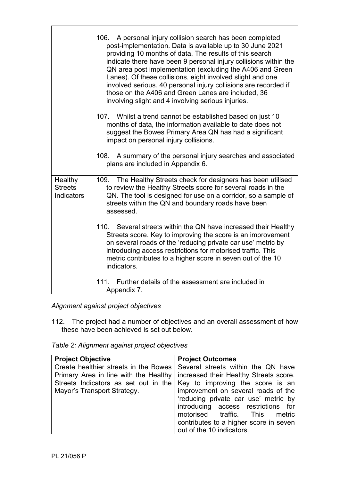|                                                | 106. A personal injury collision search has been completed<br>post-implementation. Data is available up to 30 June 2021<br>providing 10 months of data. The results of this search<br>indicate there have been 9 personal injury collisions within the<br>QN area post implementation (excluding the A406 and Green<br>Lanes). Of these collisions, eight involved slight and one<br>involved serious. 40 personal injury collisions are recorded if<br>those on the A406 and Green Lanes are included, 36<br>involving slight and 4 involving serious injuries. |
|------------------------------------------------|------------------------------------------------------------------------------------------------------------------------------------------------------------------------------------------------------------------------------------------------------------------------------------------------------------------------------------------------------------------------------------------------------------------------------------------------------------------------------------------------------------------------------------------------------------------|
|                                                | 107. Whilst a trend cannot be established based on just 10<br>months of data, the information available to date does not<br>suggest the Bowes Primary Area QN has had a significant<br>impact on personal injury collisions.                                                                                                                                                                                                                                                                                                                                     |
|                                                | 108. A summary of the personal injury searches and associated<br>plans are included in Appendix 6.                                                                                                                                                                                                                                                                                                                                                                                                                                                               |
| Healthy<br><b>Streets</b><br><b>Indicators</b> | 109. The Healthy Streets check for designers has been utilised<br>to review the Healthy Streets score for several roads in the<br>QN. The tool is designed for use on a corridor, so a sample of<br>streets within the QN and boundary roads have been<br>assessed.                                                                                                                                                                                                                                                                                              |
|                                                | 110. Several streets within the QN have increased their Healthy<br>Streets score. Key to improving the score is an improvement<br>on several roads of the 'reducing private car use' metric by<br>introducing access restrictions for motorised traffic. This<br>metric contributes to a higher score in seven out of the 10<br>indicators.                                                                                                                                                                                                                      |
|                                                | 111. Further details of the assessment are included in<br>Appendix 7.                                                                                                                                                                                                                                                                                                                                                                                                                                                                                            |

*Alignment against project objectives*

112. The project had a number of objectives and an overall assessment of how these have been achieved is set out below.

*Table 2: Alignment against project objectives*

| <b>Project Objective</b>              | <b>Project Outcomes</b>                |
|---------------------------------------|----------------------------------------|
| Create healthier streets in the Bowes | Several streets within the QN have     |
| Primary Area in line with the Healthy | increased their Healthy Streets score. |
| Streets Indicators as set out in the  | Key to improving the score is an       |
| Mayor's Transport Strategy.           | improvement on several roads of the    |
|                                       | 'reducing private car use' metric by   |
|                                       | introducing access restrictions for    |
|                                       | motorised traffic. This<br>metric      |
|                                       | contributes to a higher score in seven |
|                                       | out of the 10 indicators.              |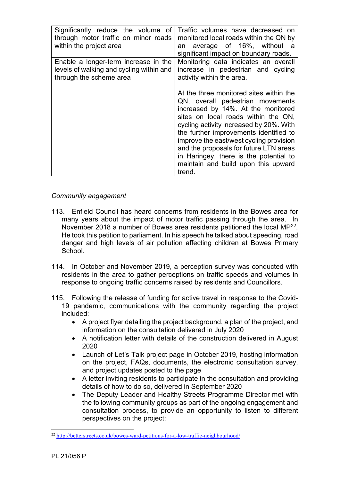| Significantly reduce the volume of<br>through motor traffic on minor roads<br>within the project area       | Traffic volumes have decreased on<br>monitored local roads within the QN by<br>average of 16%, without a<br>an<br>significant impact on boundary roads.                                                                                                                                                                                                                                             |
|-------------------------------------------------------------------------------------------------------------|-----------------------------------------------------------------------------------------------------------------------------------------------------------------------------------------------------------------------------------------------------------------------------------------------------------------------------------------------------------------------------------------------------|
| Enable a longer-term increase in the<br>levels of walking and cycling within and<br>through the scheme area | Monitoring data indicates an overall<br>increase in pedestrian and cycling<br>activity within the area.<br>At the three monitored sites within the<br>QN, overall pedestrian movements<br>increased by 14%. At the monitored<br>sites on local roads within the QN.<br>cycling activity increased by 20%. With<br>the further improvements identified to<br>improve the east/west cycling provision |
|                                                                                                             | and the proposals for future LTN areas<br>in Haringey, there is the potential to<br>maintain and build upon this upward<br>trend.                                                                                                                                                                                                                                                                   |

## *Community engagement*

- 113. Enfield Council has heard concerns from residents in the Bowes area for many years about the impact of motor traffic passing through the area. In November 2018 a number of Bowes area residents petitioned the local MP[22.](#page-22-0) He took this petition to parliament. In his speech he talked about speeding, road danger and high levels of air pollution affecting children at Bowes Primary School.
- 114. In October and November 2019, a perception survey was conducted with residents in the area to gather perceptions on traffic speeds and volumes in response to ongoing traffic concerns raised by residents and Councillors.
- 115. Following the release of funding for active travel in response to the Covid-19 pandemic, communications with the community regarding the project included:
	- A project flyer detailing the project background, a plan of the project, and information on the consultation delivered in July 2020
	- A notification letter with details of the construction delivered in August 2020
	- Launch of Let's Talk project page in October 2019, hosting information on the project, FAQs, documents, the electronic consultation survey, and project updates posted to the page
	- A letter inviting residents to participate in the consultation and providing details of how to do so, delivered in September 2020
	- The Deputy Leader and Healthy Streets Programme Director met with the following community groups as part of the ongoing engagement and consultation process, to provide an opportunity to listen to different perspectives on the project:

<span id="page-22-0"></span><sup>22</sup> <http://betterstreets.co.uk/bowes-ward-petitions-for-a-low-traffic-neighbourhood/>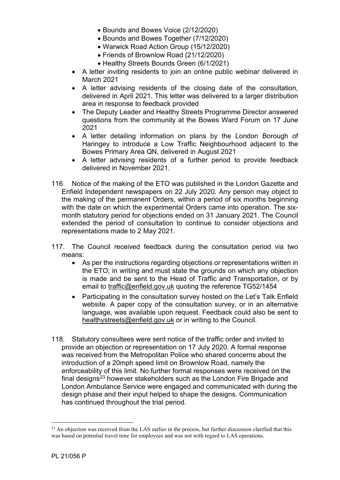- Bounds and Bowes Voice (2/12/2020)
- Bounds and Bowes Together (7/12/2020)
- Warwick Road Action Group (15/12/2020)
- Friends of Brownlow Road (21/12/2020)
- Healthy Streets Bounds Green (6/1/2021)
- A letter inviting residents to join an online public webinar delivered in March 2021
- A letter advising residents of the closing date of the consultation, delivered in April 2021. This letter was delivered to a larger distribution area in response to feedback provided
- The Deputy Leader and Healthy Streets Programme Director answered questions from the community at the Bowes Ward Forum on 17 June 2021
- A letter detailing information on plans by the London Borough of Haringey to introduce a Low Traffic Neighbourhood adjacent to the Bowes Primary Area QN, delivered in August 2021
- A letter advising residents of a further period to provide feedback delivered in November 2021.
- 116. Notice of the making of the ETO was published in the London Gazette and Enfield Independent newspapers on 22 July 2020. Any person may object to the making of the permanent Orders, within a period of six months beginning with the date on which the experimental Orders came into operation. The sixmonth statutory period for objections ended on 31 January 2021. The Council extended the period of consultation to continue to consider objections and representations made to 2 May 2021.
- 117. The Council received feedback during the consultation period via two means:
	- As per the instructions regarding objections or representations written in the ETO; in writing and must state the grounds on which any objection is made and be sent to the Head of Traffic and Transportation, or by email to [traffic@enfield.gov.uk](mailto:traffic@enfield.gov.uk) quoting the reference TG52/1454
	- Participating in the consultation survey hosted on the Let's Talk Enfield website. A paper copy of the consultation survey, or in an alternative language, was available upon request. Feedback could also be sent to [healthystreets@enfield.gov.uk](mailto:healthystreets@enfield.gov.uk) or in writing to the Council.
- 118. Statutory consultees were sent notice of the traffic order and invited to provide an objection or representation on 17 July 2020. A formal response was received from the Metropolitan Police who shared concerns about the introduction of a 20mph speed limit on Brownlow Road, namely the enforceability of this limit. No further formal responses were received on the final designs $^{23}$  $^{23}$  $^{23}$  however stakeholders such as the London Fire Brigade and London Ambulance Service were engaged and communicated with during the design phase and their input helped to shape the designs. Communication has continued throughout the trial period.

<span id="page-23-0"></span><sup>&</sup>lt;sup>23</sup> An objection was received from the LAS earlier in the process, but further discussion clarified that this was based on potential travel time for employees and was not with regard to LAS operations.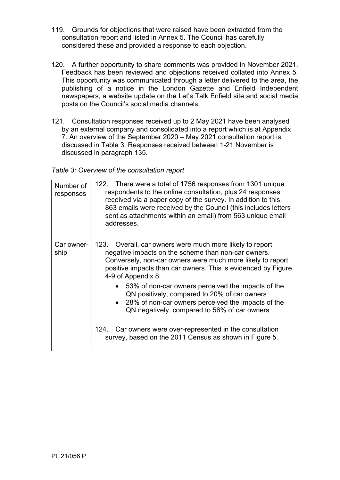- 119. Grounds for objections that were raised have been extracted from the consultation report and listed in [Annex 5.](#page-44-8) The Council has carefully considered these and provided a response to each objection.
- 120. A further opportunity to share comments was provided in November 2021. Feedback has been reviewed and objections received collated into [Annex 5.](#page-44-8) This opportunity was communicated through a letter delivered to the area, the publishing of a notice in the London Gazette and Enfield Independent newspapers, a website update on the Let's Talk Enfield site and social media posts on the Council's social media channels.
- 121. Consultation responses received up to 2 May 2021 have been analysed by an external company and consolidated into a report which is at [Appendix](#page-45-1)  [7.](#page-45-1) An overview of the September 2020 – May 2021 consultation report is discussed in [Table 3.](#page-24-0) Responses received between 1-21 November is discussed in paragraph 135.

<span id="page-24-0"></span>*Table 3: Overview of the consultation report*

| Number of<br>responses | 122. There were a total of 1756 responses from 1301 unique<br>respondents to the online consultation, plus 24 responses<br>received via a paper copy of the survey. In addition to this,<br>863 emails were received by the Council (this includes letters<br>sent as attachments within an email) from 563 unique email<br>addresses. |  |  |  |  |  |
|------------------------|----------------------------------------------------------------------------------------------------------------------------------------------------------------------------------------------------------------------------------------------------------------------------------------------------------------------------------------|--|--|--|--|--|
| Car owner-             | 123. Overall, car owners were much more likely to report                                                                                                                                                                                                                                                                               |  |  |  |  |  |
| ship                   | negative impacts on the scheme than non-car owners.                                                                                                                                                                                                                                                                                    |  |  |  |  |  |
|                        | Conversely, non-car owners were much more likely to report                                                                                                                                                                                                                                                                             |  |  |  |  |  |
|                        | positive impacts than car owners. This is evidenced by Figure                                                                                                                                                                                                                                                                          |  |  |  |  |  |
|                        | 4-9 of Appendix 8:                                                                                                                                                                                                                                                                                                                     |  |  |  |  |  |
|                        |                                                                                                                                                                                                                                                                                                                                        |  |  |  |  |  |
|                        | 53% of non-car owners perceived the impacts of the                                                                                                                                                                                                                                                                                     |  |  |  |  |  |
|                        | QN positively, compared to 20% of car owners                                                                                                                                                                                                                                                                                           |  |  |  |  |  |
|                        | • 28% of non-car owners perceived the impacts of the                                                                                                                                                                                                                                                                                   |  |  |  |  |  |
|                        | QN negatively, compared to 56% of car owners                                                                                                                                                                                                                                                                                           |  |  |  |  |  |
|                        |                                                                                                                                                                                                                                                                                                                                        |  |  |  |  |  |
|                        | 124. Car owners were over-represented in the consultation                                                                                                                                                                                                                                                                              |  |  |  |  |  |
|                        | survey, based on the 2011 Census as shown in Figure 5.                                                                                                                                                                                                                                                                                 |  |  |  |  |  |
|                        |                                                                                                                                                                                                                                                                                                                                        |  |  |  |  |  |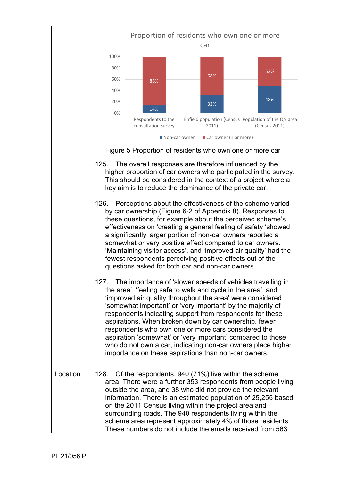<span id="page-25-0"></span>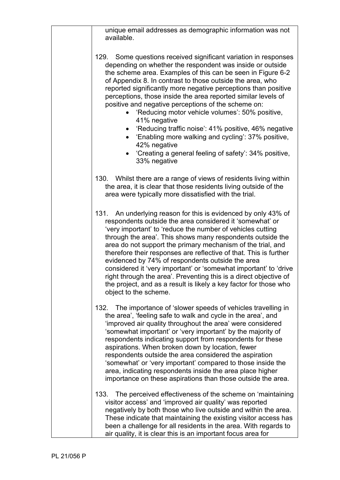unique email addresses as demographic information was not available.

129. Some questions received significant variation in responses depending on whether the respondent was inside or outside the scheme area. Examples of this can be seen in Figure 6-2 of [Appendix 8.](#page-45-2) In contrast to those outside the area, who reported significantly more negative perceptions than positive perceptions, those inside the area reported similar levels of positive and negative perceptions of the scheme on:

- 'Reducing motor vehicle volumes': 50% positive, 41% negative
- 'Reducing traffic noise': 41% positive, 46% negative
- 'Enabling more walking and cycling': 37% positive, 42% negative
- 'Creating a general feeling of safety': 34% positive, 33% negative
- 130. Whilst there are a range of views of residents living within the area, it is clear that those residents living outside of the area were typically more dissatisfied with the trial.

131. An underlying reason for this is evidenced by only 43% of respondents outside the area considered it 'somewhat' or 'very important' to 'reduce the number of vehicles cutting through the area'. This shows many respondents outside the area do not support the primary mechanism of the trial, and therefore their responses are reflective of that. This is further evidenced by 74% of respondents outside the area considered it 'very important' or 'somewhat important' to 'drive right through the area'. Preventing this is a direct objective of the project, and as a result is likely a key factor for those who object to the scheme.

132. The importance of 'slower speeds of vehicles travelling in the area', 'feeling safe to walk and cycle in the area', and 'improved air quality throughout the area' were considered 'somewhat important' or 'very important' by the majority of respondents indicating support from respondents for these aspirations. When broken down by location, fewer respondents outside the area considered the aspiration 'somewhat' or 'very important' compared to those inside the area, indicating respondents inside the area place higher importance on these aspirations than those outside the area.

133. The perceived effectiveness of the scheme on 'maintaining visitor access' and 'improved air quality' was reported negatively by both those who live outside and within the area. These indicate that maintaining the existing visitor access has been a challenge for all residents in the area. With regards to air quality, it is clear this is an important focus area for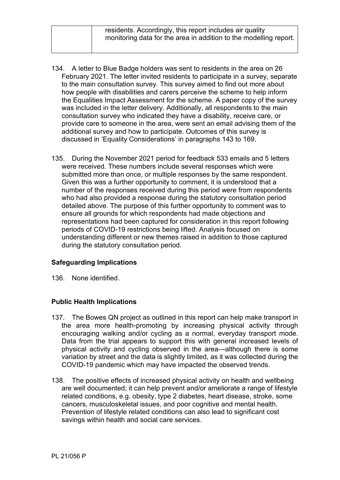- 134. A letter to Blue Badge holders was sent to residents in the area on 26 February 2021. The letter invited residents to participate in a survey, separate to the main consultation survey. This survey aimed to find out more about how people with disabilities and carers perceive the scheme to help inform the Equalities Impact Assessment for the scheme. A paper copy of the survey was included in the letter delivery. Additionally, all respondents to the main consultation survey who indicated they have a disability, receive care, or provide care to someone in the area, were sent an email advising them of the additional survey and how to participate. Outcomes of this survey is discussed in 'Equality Considerations' in paragraphs 143 to 169.
- 135. During the November 2021 period for feedback 533 emails and 5 letters were received. These numbers include several responses which were submitted more than once, or multiple responses by the same respondent. Given this was a further opportunity to comment, it is understood that a number of the responses received during this period were from respondents who had also provided a response during the statutory consultation period detailed above. The purpose of this further opportunity to comment was to ensure all grounds for which respondents had made objections and representations had been captured for consideration in this report following periods of COVID-19 restrictions being lifted. Analysis focused on understanding different or new themes raised in addition to those captured during the statutory consultation period.

# **Safeguarding Implications**

136. None identified.

### **Public Health Implications**

- 137. The Bowes QN project as outlined in this report can help make transport in the area more health-promoting by increasing physical activity through encouraging walking and/or cycling as a normal, everyday transport mode. Data from the trial appears to support this with general increased levels of physical activity and cycling observed in the area—although there is some variation by street and the data is slightly limited, as it was collected during the COVID-19 pandemic which may have impacted the observed trends.
- 138. The positive effects of increased physical activity on health and wellbeing are well documented; it can help prevent and/or ameliorate a range of lifestyle related conditions, e.g. obesity, type 2 diabetes, heart disease, stroke, some cancers, musculoskeletal issues, and poor cognitive and mental health. Prevention of lifestyle related conditions can also lead to significant cost savings within health and social care services.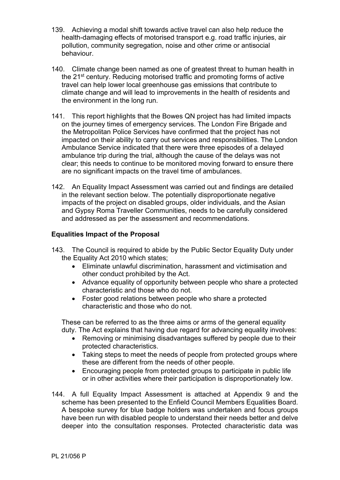- 139. Achieving a modal shift towards active travel can also help reduce the health-damaging effects of motorised transport e.g. road traffic injuries, air pollution, community segregation, noise and other crime or antisocial behaviour.
- 140. Climate change been named as one of greatest threat to human health in the 21st century. Reducing motorised traffic and promoting forms of active travel can help lower local greenhouse gas emissions that contribute to climate change and will lead to improvements in the health of residents and the environment in the long run.
- 141. This report highlights that the Bowes QN project has had limited impacts on the journey times of emergency services. The London Fire Brigade and the Metropolitan Police Services have confirmed that the project has not impacted on their ability to carry out services and responsibilities. The London Ambulance Service indicated that there were three episodes of a delayed ambulance trip during the trial, although the cause of the delays was not clear; this needs to continue to be monitored moving forward to ensure there are no significant impacts on the travel time of ambulances.
- 142. An Equality Impact Assessment was carried out and findings are detailed in the relevant section below. The potentially disproportionate negative impacts of the project on disabled groups, older individuals, and the Asian and Gypsy Roma Traveller Communities, needs to be carefully considered and addressed as per the assessment and recommendations.

## **Equalities Impact of the Proposal**

- 143. The Council is required to abide by the Public Sector Equality Duty under the Equality Act 2010 which states;
	- Eliminate unlawful discrimination, harassment and victimisation and other conduct prohibited by the Act.
	- Advance equality of opportunity between people who share a protected characteristic and those who do not.
	- Foster good relations between people who share a protected characteristic and those who do not.

These can be referred to as the three aims or arms of the general equality duty. The Act explains that having due regard for advancing equality involves:

- Removing or minimising disadvantages suffered by people due to their protected characteristics.
- Taking steps to meet the needs of people from protected groups where these are different from the needs of other people.
- Encouraging people from protected groups to participate in public life or in other activities where their participation is disproportionately low.
- 144. A full Equality Impact Assessment is attached at [Appendix 9](#page-45-3) and the scheme has been presented to the Enfield Council Members Equalities Board. A bespoke survey for blue badge holders was undertaken and focus groups have been run with disabled people to understand their needs better and delve deeper into the consultation responses. Protected characteristic data was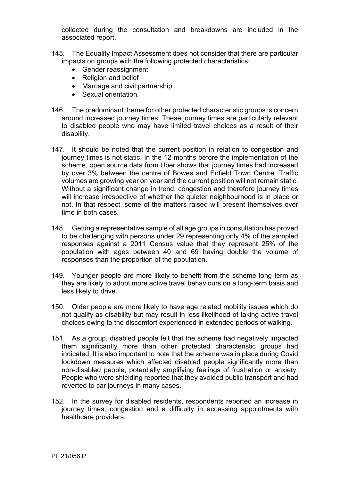collected during the consultation and breakdowns are included in the associated report.

- 145. The Equality Impact Assessment does not consider that there are particular impacts on groups with the following protected characteristics;
	- Gender reassignment
	- Religion and belief
	- Marriage and civil partnership
	- Sexual orientation.
- 146. The predominant theme for other protected characteristic groups is concern around increased journey times. These journey times are particularly relevant to disabled people who may have limited travel choices as a result of their disability.
- 147. It should be noted that the current position in relation to congestion and journey times is not static. In the 12 months before the implementation of the scheme, open source data from Uber shows that journey times had increased by over 3% between the centre of Bowes and Enfield Town Centre. Traffic volumes are growing year on year and the current position will not remain static. Without a significant change in trend, congestion and therefore journey times will increase irrespective of whether the quieter neighbourhood is in place or not. In that respect, some of the matters raised will present themselves over time in both cases.
- 148. Getting a representative sample of all age groups in consultation has proved to be challenging with persons under 29 representing only 4% of the sampled responses against a 2011 Census value that they represent 25% of the population with ages between 40 and 69 having double the volume of responses than the proportion of the population.
- 149. Younger people are more likely to benefit from the scheme long term as they are likely to adopt more active travel behaviours on a long-term basis and less likely to drive.
- 150. Older people are more likely to have age related mobility issues which do not qualify as disability but may result in less likelihood of taking active travel choices owing to the discomfort experienced in extended periods of walking.
- 151. As a group, disabled people felt that the scheme had negatively impacted them significantly more than other protected characteristic groups had indicated. It is also important to note that the scheme was in place during Covid lockdown measures which affected disabled people significantly more than non-disabled people, potentially amplifying feelings of frustration or anxiety. People who were shielding reported that they avoided public transport and had reverted to car journeys in many cases.
- 152. In the survey for disabled residents, respondents reported an increase in journey times, congestion and a difficulty in accessing appointments with healthcare providers.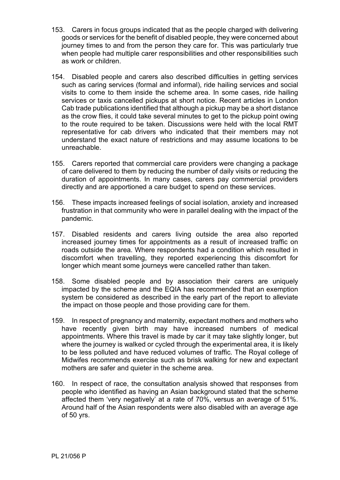- 153. Carers in focus groups indicated that as the people charged with delivering goods or services for the benefit of disabled people, they were concerned about journey times to and from the person they care for. This was particularly true when people had multiple carer responsibilities and other responsibilities such as work or children.
- 154. Disabled people and carers also described difficulties in getting services such as caring services (formal and informal), ride hailing services and social visits to come to them inside the scheme area. In some cases, ride hailing services or taxis cancelled pickups at short notice. Recent articles in London Cab trade publications identified that although a pickup may be a short distance as the crow flies, it could take several minutes to get to the pickup point owing to the route required to be taken. Discussions were held with the local RMT representative for cab drivers who indicated that their members may not understand the exact nature of restrictions and may assume locations to be unreachable.
- 155. Carers reported that commercial care providers were changing a package of care delivered to them by reducing the number of daily visits or reducing the duration of appointments. In many cases, carers pay commercial providers directly and are apportioned a care budget to spend on these services.
- 156. These impacts increased feelings of social isolation, anxiety and increased frustration in that community who were in parallel dealing with the impact of the pandemic.
- 157. Disabled residents and carers living outside the area also reported increased journey times for appointments as a result of increased traffic on roads outside the area. Where respondents had a condition which resulted in discomfort when travelling, they reported experiencing this discomfort for longer which meant some journeys were cancelled rather than taken.
- 158. Some disabled people and by association their carers are uniquely impacted by the scheme and the EQIA has recommended that an exemption system be considered as described in the early part of the report to alleviate the impact on those people and those providing care for them.
- 159. In respect of pregnancy and maternity, expectant mothers and mothers who have recently given birth may have increased numbers of medical appointments. Where this travel is made by car it may take slightly longer, but where the journey is walked or cycled through the experimental area, it is likely to be less polluted and have reduced volumes of traffic. The Royal college of Midwifes recommends exercise such as brisk walking for new and expectant mothers are safer and quieter in the scheme area.
- 160. In respect of race, the consultation analysis showed that responses from people who identified as having an Asian background stated that the scheme affected them 'very negatively' at a rate of 70%, versus an average of 51%. Around half of the Asian respondents were also disabled with an average age of 50 yrs.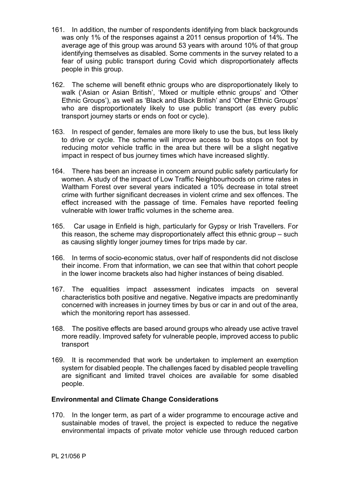- 161. In addition, the number of respondents identifying from black backgrounds was only 1% of the responses against a 2011 census proportion of 14%. The average age of this group was around 53 years with around 10% of that group identifying themselves as disabled. Some comments in the survey related to a fear of using public transport during Covid which disproportionately affects people in this group.
- 162. The scheme will benefit ethnic groups who are disproportionately likely to walk ('Asian or Asian British', 'Mixed or multiple ethnic groups' and 'Other Ethnic Groups'), as well as 'Black and Black British' and 'Other Ethnic Groups' who are disproportionately likely to use public transport (as every public transport journey starts or ends on foot or cycle).
- 163. In respect of gender, females are more likely to use the bus, but less likely to drive or cycle. The scheme will improve access to bus stops on foot by reducing motor vehicle traffic in the area but there will be a slight negative impact in respect of bus journey times which have increased slightly.
- 164. There has been an increase in concern around public safety particularly for women. A study of the impact of Low Traffic Neighbourhoods on crime rates in Waltham Forest over several years indicated a 10% decrease in total street crime with further significant decreases in violent crime and sex offences. The effect increased with the passage of time. Females have reported feeling vulnerable with lower traffic volumes in the scheme area.
- 165. Car usage in Enfield is high, particularly for Gypsy or Irish Travellers. For this reason, the scheme may disproportionately affect this ethnic group – such as causing slightly longer journey times for trips made by car.
- 166. In terms of socio-economic status, over half of respondents did not disclose their income. From that information, we can see that within that cohort people in the lower income brackets also had higher instances of being disabled.
- 167. The equalities impact assessment indicates impacts on several characteristics both positive and negative. Negative impacts are predominantly concerned with increases in journey times by bus or car in and out of the area, which the monitoring report has assessed.
- 168. The positive effects are based around groups who already use active travel more readily. Improved safety for vulnerable people, improved access to public transport
- 169. It is recommended that work be undertaken to implement an exemption system for disabled people. The challenges faced by disabled people travelling are significant and limited travel choices are available for some disabled people.

### **Environmental and Climate Change Considerations**

170. In the longer term, as part of a wider programme to encourage active and sustainable modes of travel, the project is expected to reduce the negative environmental impacts of private motor vehicle use through reduced carbon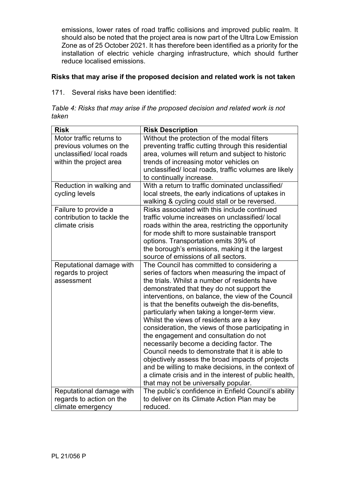emissions, lower rates of road traffic collisions and improved public realm. It should also be noted that the project area is now part of the Ultra Low Emission Zone as of 25 October 2021. It has therefore been identified as a priority for the installation of electric vehicle charging infrastructure, which should further reduce localised emissions.

# **Risks that may arise if the proposed decision and related work is not taken**

171. Several risks have been identified:

|       |  |  | Table 4: Risks that may arise if the proposed decision and related work is not |  |  |  |
|-------|--|--|--------------------------------------------------------------------------------|--|--|--|
| taken |  |  |                                                                                |  |  |  |

| <b>Risk</b>                                                                                                | <b>Risk Description</b>                                                                                                                                                                                                                                                                                                                                                                                                                                                                                                                                                                                                                                                                                                                                                                                     |
|------------------------------------------------------------------------------------------------------------|-------------------------------------------------------------------------------------------------------------------------------------------------------------------------------------------------------------------------------------------------------------------------------------------------------------------------------------------------------------------------------------------------------------------------------------------------------------------------------------------------------------------------------------------------------------------------------------------------------------------------------------------------------------------------------------------------------------------------------------------------------------------------------------------------------------|
| Motor traffic returns to<br>previous volumes on the<br>unclassified/local roads<br>within the project area | Without the protection of the modal filters<br>preventing traffic cutting through this residential<br>area, volumes will return and subject to historic<br>trends of increasing motor vehicles on<br>unclassified/ local roads, traffic volumes are likely<br>to continually increase.                                                                                                                                                                                                                                                                                                                                                                                                                                                                                                                      |
| Reduction in walking and<br>cycling levels                                                                 | With a return to traffic dominated unclassified/<br>local streets, the early indications of uptakes in<br>walking & cycling could stall or be reversed.                                                                                                                                                                                                                                                                                                                                                                                                                                                                                                                                                                                                                                                     |
| Failure to provide a<br>contribution to tackle the<br>climate crisis                                       | Risks associated with this include continued<br>traffic volume increases on unclassified/local<br>roads within the area, restricting the opportunity<br>for mode shift to more sustainable transport<br>options. Transportation emits 39% of<br>the borough's emissions, making it the largest<br>source of emissions of all sectors.                                                                                                                                                                                                                                                                                                                                                                                                                                                                       |
| Reputational damage with<br>regards to project<br>assessment                                               | The Council has committed to considering a<br>series of factors when measuring the impact of<br>the trials. Whilst a number of residents have<br>demonstrated that they do not support the<br>interventions, on balance, the view of the Council<br>is that the benefits outweigh the dis-benefits,<br>particularly when taking a longer-term view.<br>Whilst the views of residents are a key<br>consideration, the views of those participating in<br>the engagement and consultation do not<br>necessarily become a deciding factor. The<br>Council needs to demonstrate that it is able to<br>objectively assess the broad impacts of projects<br>and be willing to make decisions, in the context of<br>a climate crisis and in the interest of public health,<br>that may not be universally popular. |
| Reputational damage with                                                                                   | The public's confidence in Enfield Council's ability                                                                                                                                                                                                                                                                                                                                                                                                                                                                                                                                                                                                                                                                                                                                                        |
| regards to action on the<br>climate emergency                                                              | to deliver on its Climate Action Plan may be<br>reduced.                                                                                                                                                                                                                                                                                                                                                                                                                                                                                                                                                                                                                                                                                                                                                    |
|                                                                                                            |                                                                                                                                                                                                                                                                                                                                                                                                                                                                                                                                                                                                                                                                                                                                                                                                             |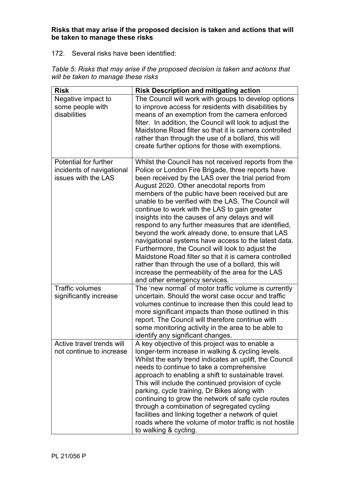**Risks that may arise if the proposed decision is taken and actions that will be taken to manage these risks**

### 172. Several risks have been identified:

| <b>Risk</b>                                                               | <b>Risk Description and mitigating action</b>                                                                                                                                                                                                                                                                                                                                                                                                                                                                                                                                                                                                                                                                                                                                                                                                               |
|---------------------------------------------------------------------------|-------------------------------------------------------------------------------------------------------------------------------------------------------------------------------------------------------------------------------------------------------------------------------------------------------------------------------------------------------------------------------------------------------------------------------------------------------------------------------------------------------------------------------------------------------------------------------------------------------------------------------------------------------------------------------------------------------------------------------------------------------------------------------------------------------------------------------------------------------------|
| Negative impact to<br>some people with<br>disabilities                    | The Council will work with groups to develop options<br>to improve access for residents with disabilities by<br>means of an exemption from the camera enforced<br>filter. In addition, the Council will look to adjust the<br>Maidstone Road filter so that it is camera controlled<br>rather than through the use of a bollard, this will<br>create further options for those with exemptions.                                                                                                                                                                                                                                                                                                                                                                                                                                                             |
| Potential for further<br>incidents of navigational<br>issues with the LAS | Whilst the Council has not received reports from the<br>Police or London Fire Brigade, three reports have<br>been received by the LAS over the trial period from<br>August 2020. Other anecdotal reports from<br>members of the public have been received but are<br>unable to be verified with the LAS. The Council will<br>continue to work with the LAS to gain greater<br>insights into the causes of any delays and will<br>respond to any further measures that are identified,<br>beyond the work already done, to ensure that LAS<br>navigational systems have access to the latest data.<br>Furthermore, the Council will look to adjust the<br>Maidstone Road filter so that it is camera controlled<br>rather than through the use of a bollard, this will<br>increase the permeability of the area for the LAS<br>and other emergency services. |
| <b>Traffic volumes</b><br>significantly increase                          | The 'new normal' of motor traffic volume is currently<br>uncertain. Should the worst case occur and traffic<br>volumes continue to increase then this could lead to<br>more significant impacts than those outlined in this<br>report. The Council will therefore continue with<br>some monitoring activity in the area to be able to<br>identify any significant changes.                                                                                                                                                                                                                                                                                                                                                                                                                                                                                  |
| Active travel trends will<br>not continue to increase                     | A key objective of this project was to enable a<br>longer-term increase in walking & cycling levels.<br>Whilst the early trend indicates an uplift, the Council<br>needs to continue to take a comprehensive<br>approach to enabling a shift to sustainable travel.<br>This will include the continued provision of cycle<br>parking, cycle training, Dr Bikes along with<br>continuing to grow the network of safe cycle routes<br>through a combination of segregated cycling<br>facilities and linking together a network of quiet<br>roads where the volume of motor traffic is not hostile<br>to walking & cycling.                                                                                                                                                                                                                                    |

*Table 5: Risks that may arise if the proposed decision is taken and actions that will be taken to manage these risks*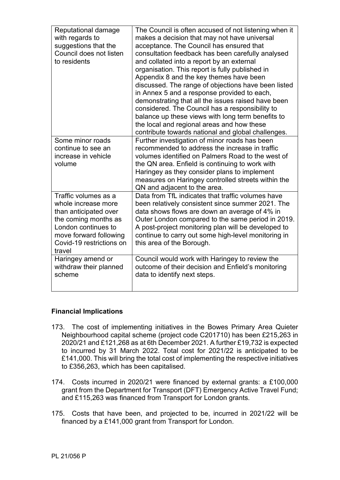| Reputational damage<br>with regards to<br>suggestions that the<br>Council does not listen<br>to residents                                                                           | The Council is often accused of not listening when it<br>makes a decision that may not have universal<br>acceptance. The Council has ensured that<br>consultation feedback has been carefully analysed<br>and collated into a report by an external<br>organisation. This report is fully published in<br>Appendix 8 and the key themes have been<br>discussed. The range of objections have been listed<br>in Annex 5 and a response provided to each,<br>demonstrating that all the issues raised have been<br>considered. The Council has a responsibility to<br>balance up these views with long term benefits to |
|-------------------------------------------------------------------------------------------------------------------------------------------------------------------------------------|-----------------------------------------------------------------------------------------------------------------------------------------------------------------------------------------------------------------------------------------------------------------------------------------------------------------------------------------------------------------------------------------------------------------------------------------------------------------------------------------------------------------------------------------------------------------------------------------------------------------------|
|                                                                                                                                                                                     | the local and regional areas and how these                                                                                                                                                                                                                                                                                                                                                                                                                                                                                                                                                                            |
| Some minor roads<br>continue to see an<br>increase in vehicle<br>volume                                                                                                             | contribute towards national and global challenges.<br>Further investigation of minor roads has been<br>recommended to address the increase in traffic<br>volumes identified on Palmers Road to the west of<br>the QN area. Enfield is continuing to work with<br>Haringey as they consider plans to implement<br>measures on Haringey controlled streets within the<br>QN and adjacent to the area.                                                                                                                                                                                                                   |
| Traffic volumes as a<br>whole increase more<br>than anticipated over<br>the coming months as<br>London continues to<br>move forward following<br>Covid-19 restrictions on<br>travel | Data from TfL indicates that traffic volumes have<br>been relatively consistent since summer 2021. The<br>data shows flows are down an average of 4% in<br>Outer London compared to the same period in 2019.<br>A post-project monitoring plan will be developed to<br>continue to carry out some high-level monitoring in<br>this area of the Borough.                                                                                                                                                                                                                                                               |
| Haringey amend or<br>withdraw their planned<br>scheme                                                                                                                               | Council would work with Haringey to review the<br>outcome of their decision and Enfield's monitoring<br>data to identify next steps.                                                                                                                                                                                                                                                                                                                                                                                                                                                                                  |

# **Financial Implications**

- 173. The cost of implementing initiatives in the Bowes Primary Area Quieter Neighbourhood capital scheme (project code C201710) has been £215,263 in 2020/21 and £121,268 as at 6th December 2021. A further £19,732 is expected to incurred by 31 March 2022. Total cost for 2021/22 is anticipated to be £141,000. This will bring the total cost of implementing the respective initiatives to £356,263, which has been capitalised.
- 174. Costs incurred in 2020/21 were financed by external grants: a £100,000 grant from the Department for Transport (DFT) Emergency Active Travel Fund; and £115,263 was financed from Transport for London grants.
- 175. Costs that have been, and projected to be, incurred in 2021/22 will be financed by a £141,000 grant from Transport for London.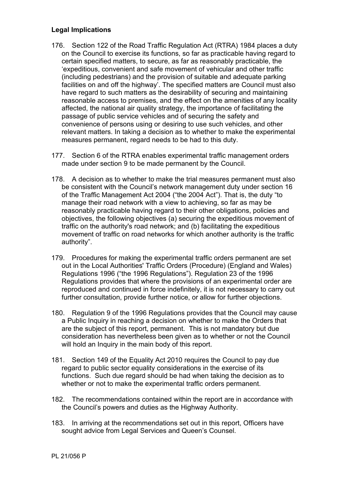## **Legal Implications**

- 176. Section 122 of the Road Traffic Regulation Act (RTRA) 1984 places a duty on the Council to exercise its functions, so far as practicable having regard to certain specified matters, to secure, as far as reasonably practicable, the 'expeditious, convenient and safe movement of vehicular and other traffic (including pedestrians) and the provision of suitable and adequate parking facilities on and off the highway'. The specified matters are Council must also have regard to such matters as the desirability of securing and maintaining reasonable access to premises, and the effect on the amenities of any locality affected, the national air quality strategy, the importance of facilitating the passage of public service vehicles and of securing the safety and convenience of persons using or desiring to use such vehicles, and other relevant matters. In taking a decision as to whether to make the experimental measures permanent, regard needs to be had to this duty.
- 177. Section 6 of the RTRA enables experimental traffic management orders made under section 9 to be made permanent by the Council.
- 178. A decision as to whether to make the trial measures permanent must also be consistent with the Council's network management duty under section 16 of the Traffic Management Act 2004 ("the 2004 Act"). That is, the duty "to manage their road network with a view to achieving, so far as may be reasonably practicable having regard to their other obligations, policies and objectives, the following objectives (a) securing the expeditious movement of traffic on the authority's road network; and (b) facilitating the expeditious movement of traffic on road networks for which another authority is the traffic authority".
- 179. Procedures for making the experimental traffic orders permanent are set out in the Local Authorities' Traffic Orders (Procedure) (England and Wales) Regulations 1996 ("the 1996 Regulations"). Regulation 23 of the 1996 Regulations provides that where the provisions of an experimental order are reproduced and continued in force indefinitely, it is not necessary to carry out further consultation, provide further notice, or allow for further objections.
- 180. Regulation 9 of the 1996 Regulations provides that the Council may cause a Public Inquiry in reaching a decision on whether to make the Orders that are the subject of this report, permanent. This is not mandatory but due consideration has nevertheless been given as to whether or not the Council will hold an Inquiry in the main body of this report.
- 181. Section 149 of the Equality Act 2010 requires the Council to pay due regard to public sector equality considerations in the exercise of its functions. Such due regard should be had when taking the decision as to whether or not to make the experimental traffic orders permanent.
- 182. The recommendations contained within the report are in accordance with the Council's powers and duties as the Highway Authority.
- 183. In arriving at the recommendations set out in this report, Officers have sought advice from Legal Services and Queen's Counsel.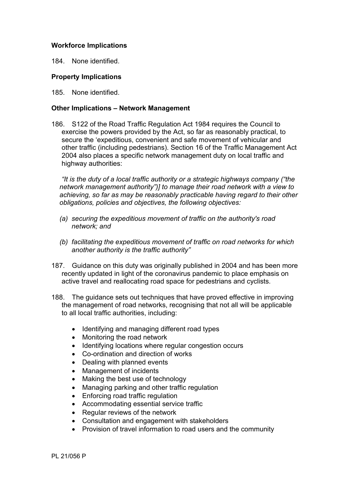## **Workforce Implications**

184. None identified.

### **Property Implications**

185. None identified.

### **Other Implications – Network Management**

186. S122 of the Road Traffic Regulation Act 1984 requires the Council to exercise the powers provided by the Act, so far as reasonably practical, to secure the 'expeditious, convenient and safe movement of vehicular and other traffic (including pedestrians). Section 16 of the Traffic Management Act 2004 also places a specific network management duty on local traffic and highway authorities:

*"It is the duty of a local traffic authority or a strategic highways company ("the network management authority")] to manage their road network with a view to achieving, so far as may be reasonably practicable having regard to their other obligations, policies and objectives, the following objectives:*

- *(a) securing the expeditious movement of traffic on the authority's road network; and*
- *(b) facilitating the expeditious movement of traffic on road networks for which another authority is the traffic authority"*
- 187. Guidance on this duty was originally published in 2004 and has been more recently updated in light of the coronavirus pandemic to place emphasis on active travel and reallocating road space for pedestrians and cyclists.
- 188. The guidance sets out techniques that have proved effective in improving the management of road networks, recognising that not all will be applicable to all local traffic authorities, including:
	- Identifying and managing different road types
	- Monitoring the road network
	- Identifying locations where regular congestion occurs
	- Co-ordination and direction of works
	- Dealing with planned events
	- Management of incidents
	- Making the best use of technology
	- Managing parking and other traffic regulation
	- Enforcing road traffic regulation
	- Accommodating essential service traffic
	- Regular reviews of the network
	- Consultation and engagement with stakeholders
	- Provision of travel information to road users and the community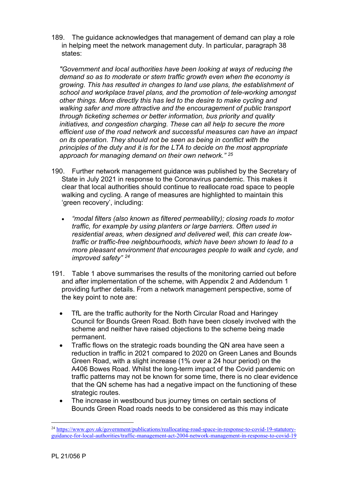189. The guidance acknowledges that management of demand can play a role in helping meet the network management duty. In particular, paragraph 38 states:

*"Government and local authorities have been looking at ways of reducing the demand so as to moderate or stem traffic growth even when the economy is growing. This has resulted in changes to land use plans, the establishment of school and workplace travel plans, and the promotion of tele-working amongst other things. More directly this has led to the desire to make cycling and walking safer and more attractive and the encouragement of public transport through ticketing schemes or better information, bus priority and quality initiatives, and congestion charging. These can all help to secure the more efficient use of the road network and successful measures can have an impact on its operation. They should not be seen as being in conflict with the principles of the duty and it is for the LTA to decide on the most appropriate approach for managing demand on their own network." <sup>25</sup>*

- 190. Further network management guidance was published by the Secretary of State in July 2021 in response to the Coronavirus pandemic. This makes it clear that local authorities should continue to reallocate road space to people walking and cycling. A range of measures are highlighted to maintain this 'green recovery', including:
	- *"modal filters (also known as filtered permeability); closing roads to motor traffic, for example by using planters or large barriers. Often used in residential areas, when designed and delivered well, this can create lowtraffic or traffic-free neighbourhoods, which have been shown to lead to a more pleasant environment that encourages people to walk and cycle, and improved safety" [24](#page-37-0)*
- 191. Table 1 above summarises the results of the monitoring carried out before and after implementation of the scheme, with Appendix 2 and Addendum 1 providing further details. From a network management perspective, some of the key point to note are:
	- TfL are the traffic authority for the North Circular Road and Haringey Council for Bounds Green Road. Both have been closely involved with the scheme and neither have raised objections to the scheme being made permanent.
	- Traffic flows on the strategic roads bounding the QN area have seen a reduction in traffic in 2021 compared to 2020 on Green Lanes and Bounds Green Road, with a slight increase (1% over a 24 hour period) on the A406 Bowes Road. Whilst the long-term impact of the Covid pandemic on traffic patterns may not be known for some time, there is no clear evidence that the QN scheme has had a negative impact on the functioning of these strategic routes.
	- The increase in westbound bus journey times on certain sections of Bounds Green Road roads needs to be considered as this may indicate

<span id="page-37-0"></span><sup>&</sup>lt;sup>24</sup> [https://www.gov.uk/government/publications/reallocating-road-space-in-response-to-covid-19-statutory](https://www.gov.uk/government/publications/reallocating-road-space-in-response-to-covid-19-statutory-guidance-for-local-authorities/traffic-management-act-2004-network-management-in-response-to-covid-19)[guidance-for-local-authorities/traffic-management-act-2004-network-management-in-response-to-covid-19](https://www.gov.uk/government/publications/reallocating-road-space-in-response-to-covid-19-statutory-guidance-for-local-authorities/traffic-management-act-2004-network-management-in-response-to-covid-19)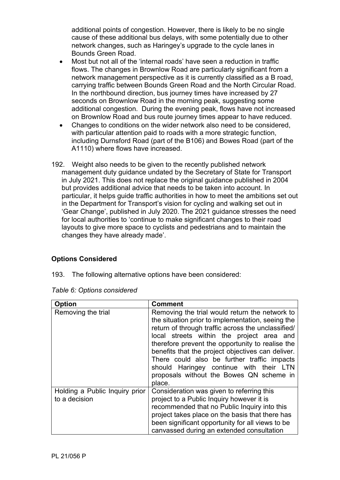additional points of congestion. However, there is likely to be no single cause of these additional bus delays, with some potentially due to other network changes, such as Haringey's upgrade to the cycle lanes in Bounds Green Road.

- Most but not all of the 'internal roads' have seen a reduction in traffic flows. The changes in Brownlow Road are particularly significant from a network management perspective as it is currently classified as a B road, carrying traffic between Bounds Green Road and the North Circular Road. In the northbound direction, bus journey times have increased by 27 seconds on Brownlow Road in the morning peak, suggesting some additional congestion. During the evening peak, flows have not increased on Brownlow Road and bus route journey times appear to have reduced.
- Changes to conditions on the wider network also need to be considered, with particular attention paid to roads with a more strategic function, including Durnsford Road (part of the B106) and Bowes Road (part of the A1110) where flows have increased.
- 192. Weight also needs to be given to the recently published network management duty guidance undated by the Secretary of State for Transport in July 2021. This does not replace the original guidance published in 2004 but provides additional advice that needs to be taken into account. In particular, it helps guide traffic authorities in how to meet the ambitions set out in the Department for Transport's vision for cycling and walking set out in 'Gear Change', published in July 2020. The 2021 guidance stresses the need for local authorities to 'continue to make significant changes to their road layouts to give more space to cyclists and pedestrians and to maintain the changes they have already made'.

# **Options Considered**

193. The following alternative options have been considered:

| Option                                          | <b>Comment</b>                                                                                                                                                                                                                                                                                                                                                                                                                                                  |
|-------------------------------------------------|-----------------------------------------------------------------------------------------------------------------------------------------------------------------------------------------------------------------------------------------------------------------------------------------------------------------------------------------------------------------------------------------------------------------------------------------------------------------|
| Removing the trial                              | Removing the trial would return the network to<br>the situation prior to implementation, seeing the<br>return of through traffic across the unclassified/<br>local streets within the project area and<br>therefore prevent the opportunity to realise the<br>benefits that the project objectives can deliver.<br>There could also be further traffic impacts<br>should Haringey continue with their LTN<br>proposals without the Bowes QN scheme in<br>place. |
| Holding a Public Inquiry prior<br>to a decision | Consideration was given to referring this<br>project to a Public Inquiry however it is<br>recommended that no Public Inquiry into this<br>project takes place on the basis that there has<br>been significant opportunity for all views to be<br>canvassed during an extended consultation                                                                                                                                                                      |

|  |  | Table 6: Options considered |
|--|--|-----------------------------|
|--|--|-----------------------------|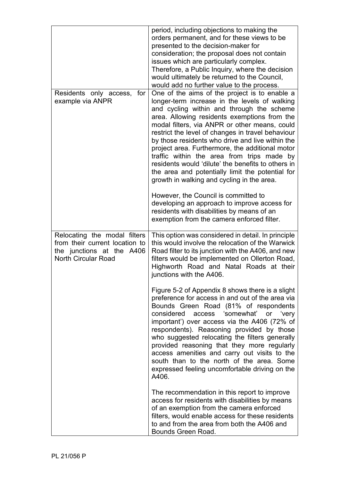|                                                                                                                           | period, including objections to making the<br>orders permanent, and for these views to be<br>presented to the decision-maker for<br>consideration; the proposal does not contain<br>issues which are particularly complex.<br>Therefore, a Public Inquiry, where the decision<br>would ultimately be returned to the Council,<br>would add no further value to the process.                                                                                                                                                                                                                                                                            |
|---------------------------------------------------------------------------------------------------------------------------|--------------------------------------------------------------------------------------------------------------------------------------------------------------------------------------------------------------------------------------------------------------------------------------------------------------------------------------------------------------------------------------------------------------------------------------------------------------------------------------------------------------------------------------------------------------------------------------------------------------------------------------------------------|
| Residents only access, for<br>example via ANPR                                                                            | One of the aims of the project is to enable a<br>longer-term increase in the levels of walking<br>and cycling within and through the scheme<br>area. Allowing residents exemptions from the<br>modal filters, via ANPR or other means, could<br>restrict the level of changes in travel behaviour<br>by those residents who drive and live within the<br>project area. Furthermore, the additional motor<br>traffic within the area from trips made by<br>residents would 'dilute' the benefits to others in<br>the area and potentially limit the potential for<br>growth in walking and cycling in the area.<br>However, the Council is committed to |
|                                                                                                                           | developing an approach to improve access for<br>residents with disabilities by means of an<br>exemption from the camera enforced filter.                                                                                                                                                                                                                                                                                                                                                                                                                                                                                                               |
| Relocating the modal filters<br>from their current location to<br>the junctions at the A406<br><b>North Circular Road</b> | This option was considered in detail. In principle<br>this would involve the relocation of the Warwick<br>Road filter to its junction with the A406, and new<br>filters would be implemented on Ollerton Road,<br>Highworth Road and Natal Roads at their<br>junctions with the A406.                                                                                                                                                                                                                                                                                                                                                                  |
|                                                                                                                           | Figure 5-2 of Appendix 8 shows there is a slight<br>preference for access in and out of the area via<br>Bounds Green Road (81% of respondents<br>considered<br>access 'somewhat'<br>or<br>'very<br>important') over access via the A406 (72% of<br>respondents). Reasoning provided by those<br>who suggested relocating the filters generally<br>provided reasoning that they more regularly<br>access amenities and carry out visits to the<br>south than to the north of the area. Some<br>expressed feeling uncomfortable driving on the<br>A406.                                                                                                  |
|                                                                                                                           | The recommendation in this report to improve<br>access for residents with disabilities by means<br>of an exemption from the camera enforced<br>filters, would enable access for these residents<br>to and from the area from both the A406 and<br>Bounds Green Road.                                                                                                                                                                                                                                                                                                                                                                                   |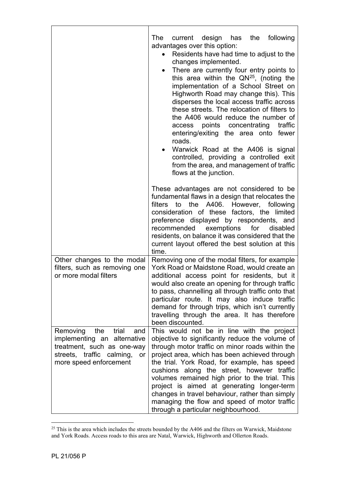|                                                                                                                                                           | current design has the following<br>The<br>advantages over this option:<br>Residents have had time to adjust to the<br>changes implemented.<br>There are currently four entry points to<br>$\bullet$<br>this area within the $QN^{25}$ , (noting the<br>implementation of a School Street on<br>Highworth Road may change this). This<br>disperses the local access traffic across<br>these streets. The relocation of filters to<br>the A406 would reduce the number of<br>access points concentrating traffic<br>entering/exiting the area onto fewer<br>roads.<br>Warwick Road at the A406 is signal<br>controlled, providing a controlled exit<br>from the area, and management of traffic<br>flows at the junction. |
|-----------------------------------------------------------------------------------------------------------------------------------------------------------|--------------------------------------------------------------------------------------------------------------------------------------------------------------------------------------------------------------------------------------------------------------------------------------------------------------------------------------------------------------------------------------------------------------------------------------------------------------------------------------------------------------------------------------------------------------------------------------------------------------------------------------------------------------------------------------------------------------------------|
|                                                                                                                                                           | These advantages are not considered to be<br>fundamental flaws in a design that relocates the<br>filters to the A406. However, following<br>consideration of these factors, the limited<br>preference displayed by respondents, and<br>recommended exemptions for<br>disabled<br>residents, on balance it was considered that the<br>current layout offered the best solution at this<br>time.                                                                                                                                                                                                                                                                                                                           |
| Other changes to the modal<br>filters, such as removing one<br>or more modal filters                                                                      | Removing one of the modal filters, for example<br>York Road or Maidstone Road, would create an<br>additional access point for residents, but it<br>would also create an opening for through traffic<br>to pass, channelling all through traffic onto that<br>particular route. It may also induce traffic<br>demand for through trips, which isn't currently<br>travelling through the area. It has therefore<br>been discounted.                                                                                                                                                                                                                                                                                        |
| the<br>trial<br>Removing<br>and<br>implementing an alternative<br>treatment, such as one-way<br>streets, traffic calming,<br>or<br>more speed enforcement | This would not be in line with the project<br>objective to significantly reduce the volume of<br>through motor traffic on minor roads within the<br>project area, which has been achieved through<br>the trial. York Road, for example, has speed<br>cushions along the street, however traffic<br>volumes remained high prior to the trial. This<br>project is aimed at generating longer-term<br>changes in travel behaviour, rather than simply<br>managing the flow and speed of motor traffic<br>through a particular neighbourhood.                                                                                                                                                                                |

<span id="page-40-0"></span> $25$  This is the area which includes the streets bounded by the A406 and the filters on Warwick, Maidstone and York Roads. Access roads to this area are Natal, Warwick, Highworth and Ollerton Roads.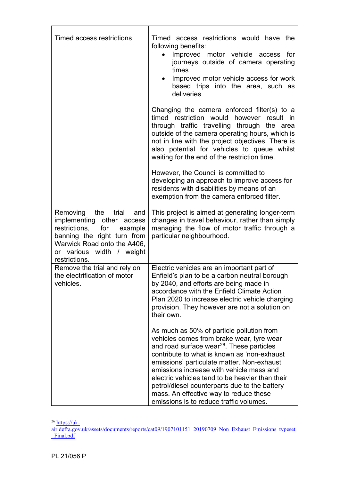| Timed access restrictions                                                                                                                                                                                | Timed access restrictions would have the<br>following benefits:<br>Improved motor vehicle access for<br>journeys outside of camera operating<br>times<br>Improved motor vehicle access for work<br>based trips into the area, such as<br>deliveries                                                                                                                                                                                                                                                                                |
|----------------------------------------------------------------------------------------------------------------------------------------------------------------------------------------------------------|------------------------------------------------------------------------------------------------------------------------------------------------------------------------------------------------------------------------------------------------------------------------------------------------------------------------------------------------------------------------------------------------------------------------------------------------------------------------------------------------------------------------------------|
|                                                                                                                                                                                                          | Changing the camera enforced filter(s) to a<br>timed restriction would however result in<br>through traffic travelling through the area<br>outside of the camera operating hours, which is<br>not in line with the project objectives. There is<br>also potential for vehicles to queue whilst<br>waiting for the end of the restriction time.<br>However, the Council is committed to<br>developing an approach to improve access for<br>residents with disabilities by means of an<br>exemption from the camera enforced filter. |
| the<br>Removing<br>trial<br>and<br>implementing other access<br>restrictions,<br>for example<br>banning the right turn from<br>Warwick Road onto the A406,<br>or various width / weight<br>restrictions. | This project is aimed at generating longer-term<br>changes in travel behaviour, rather than simply<br>managing the flow of motor traffic through a<br>particular neighbourhood.                                                                                                                                                                                                                                                                                                                                                    |
| Remove the trial and rely on<br>the electrification of motor<br>vehicles.                                                                                                                                | Electric vehicles are an important part of<br>Enfield's plan to be a carbon neutral borough<br>by 2040, and efforts are being made in<br>accordance with the Enfield Climate Action<br>Plan 2020 to increase electric vehicle charging<br>provision. They however are not a solution on<br>their own.                                                                                                                                                                                                                              |
|                                                                                                                                                                                                          | As much as 50% of particle pollution from<br>vehicles comes from brake wear, tyre wear<br>and road surface wear <sup>26</sup> . These particles<br>contribute to what is known as 'non-exhaust<br>emissions' particulate matter. Non-exhaust<br>emissions increase with vehicle mass and<br>electric vehicles tend to be heavier than their<br>petrol/diesel counterparts due to the battery<br>mass. An effective way to reduce these<br>emissions is to reduce traffic volumes.                                                  |

<span id="page-41-0"></span><sup>26</sup> [https://uk-](https://uk-air.defra.gov.uk/assets/documents/reports/cat09/1907101151_20190709_Non_Exhaust_Emissions_typeset_Final.pdf)

[air.defra.gov.uk/assets/documents/reports/cat09/1907101151\\_20190709\\_Non\\_Exhaust\\_Emissions\\_typeset](https://uk-air.defra.gov.uk/assets/documents/reports/cat09/1907101151_20190709_Non_Exhaust_Emissions_typeset_Final.pdf) [\\_Final.pdf](https://uk-air.defra.gov.uk/assets/documents/reports/cat09/1907101151_20190709_Non_Exhaust_Emissions_typeset_Final.pdf)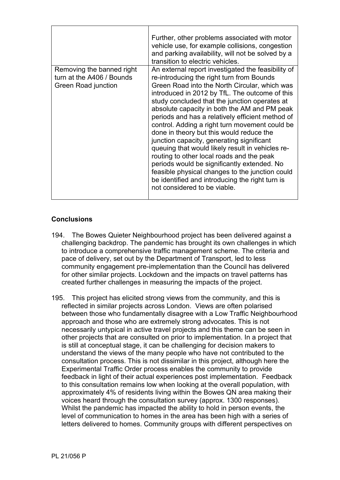|                                                                               | Further, other problems associated with motor<br>vehicle use, for example collisions, congestion<br>and parking availability, will not be solved by a<br>transition to electric vehicles.                                                                                                                                                                                                                                                                                                                                                                                                                                                                                                                                                                                                |
|-------------------------------------------------------------------------------|------------------------------------------------------------------------------------------------------------------------------------------------------------------------------------------------------------------------------------------------------------------------------------------------------------------------------------------------------------------------------------------------------------------------------------------------------------------------------------------------------------------------------------------------------------------------------------------------------------------------------------------------------------------------------------------------------------------------------------------------------------------------------------------|
| Removing the banned right<br>turn at the A406 / Bounds<br>Green Road junction | An external report investigated the feasibility of<br>re-introducing the right turn from Bounds<br>Green Road into the North Circular, which was<br>introduced in 2012 by TfL. The outcome of this<br>study concluded that the junction operates at<br>absolute capacity in both the AM and PM peak<br>periods and has a relatively efficient method of<br>control. Adding a right turn movement could be<br>done in theory but this would reduce the<br>junction capacity, generating significant<br>queuing that would likely result in vehicles re-<br>routing to other local roads and the peak<br>periods would be significantly extended. No<br>feasible physical changes to the junction could<br>be identified and introducing the right turn is<br>not considered to be viable. |

# **Conclusions**

- 194. The Bowes Quieter Neighbourhood project has been delivered against a challenging backdrop. The pandemic has brought its own challenges in which to introduce a comprehensive traffic management scheme. The criteria and pace of delivery, set out by the Department of Transport, led to less community engagement pre-implementation than the Council has delivered for other similar projects. Lockdown and the impacts on travel patterns has created further challenges in measuring the impacts of the project.
- 195. This project has elicited strong views from the community, and this is reflected in similar projects across London. Views are often polarised between those who fundamentally disagree with a Low Traffic Neighbourhood approach and those who are extremely strong advocates. This is not necessarily untypical in active travel projects and this theme can be seen in other projects that are consulted on prior to implementation. In a project that is still at conceptual stage, it can be challenging for decision makers to understand the views of the many people who have not contributed to the consultation process. This is not dissimilar in this project, although here the Experimental Traffic Order process enables the community to provide feedback in light of their actual experiences post implementation. Feedback to this consultation remains low when looking at the overall population, with approximately 4% of residents living within the Bowes QN area making their voices heard through the consultation survey (approx. 1300 responses). Whilst the pandemic has impacted the ability to hold in person events, the level of communication to homes in the area has been high with a series of letters delivered to homes. Community groups with different perspectives on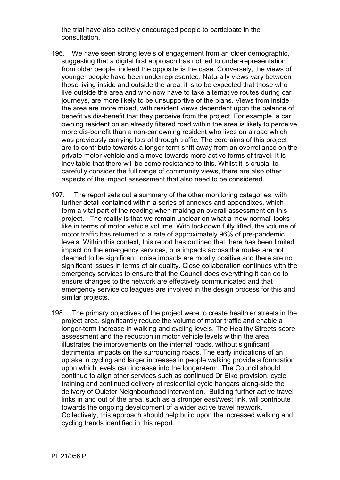the trial have also actively encouraged people to participate in the consultation.

- 196. We have seen strong levels of engagement from an older demographic, suggesting that a digital first approach has not led to under-representation from older people, indeed the opposite is the case. Conversely, the views of younger people have been underrepresented. Naturally views vary between those living inside and outside the area, it is to be expected that those who live outside the area and who now have to take alternative routes during car journeys, are more likely to be unsupportive of the plans. Views from inside the area are more mixed, with resident views dependent upon the balance of benefit vs dis-benefit that they perceive from the project. For example, a car owning resident on an already filtered road within the area is likely to perceive more dis-benefit than a non-car owning resident who lives on a road which was previously carrying lots of through traffic. The core aims of this project are to contribute towards a longer-term shift away from an overreliance on the private motor vehicle and a move towards more active forms of travel. It is inevitable that there will be some resistance to this. Whilst it is crucial to carefully consider the full range of community views, there are also other aspects of the impact assessment that also need to be considered.
- 197. The report sets out a summary of the other monitoring categories, with further detail contained within a series of annexes and appendixes, which form a vital part of the reading when making an overall assessment on this project. The reality is that we remain unclear on what a 'new normal' looks like in terms of motor vehicle volume. With lockdown fully lifted, the volume of motor traffic has returned to a rate of approximately 96% of pre-pandemic levels. Within this context, this report has outlined that there has been limited impact on the emergency services, bus impacts across the routes are not deemed to be significant, noise impacts are mostly positive and there are no significant issues in terms of air quality. Close collaboration continues with the emergency services to ensure that the Council does everything it can do to ensure changes to the network are effectively communicated and that emergency service colleagues are involved in the design process for this and similar projects.
- 198. The primary objectives of the project were to create healthier streets in the project area, significantly reduce the volume of motor traffic and enable a longer-term increase in walking and cycling levels. The Healthy Streets score assessment and the reduction in motor vehicle levels within the area illustrates the improvements on the internal roads, without significant detrimental impacts on the surrounding roads. The early indications of an uptake in cycling and larger increases in people walking provide a foundation upon which levels can increase into the longer-term. The Council should continue to align other services such as continued Dr Bike provision, cycle training and continued delivery of residential cycle hangars along-side the delivery of Quieter Neighbourhood intervention. Building further active travel links in and out of the area, such as a stronger east/west link, will contribute towards the ongoing development of a wider active travel network. Collectively, this approach should help build upon the increased walking and cycling trends identified in this report.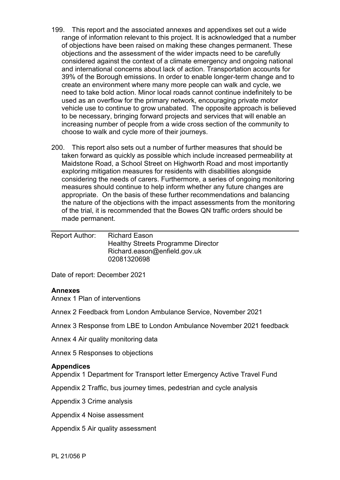- 199. This report and the associated annexes and appendixes set out a wide range of information relevant to this project. It is acknowledged that a number of objections have been raised on making these changes permanent. These objections and the assessment of the wider impacts need to be carefully considered against the context of a climate emergency and ongoing national and international concerns about lack of action. Transportation accounts for 39% of the Borough emissions. In order to enable longer-term change and to create an environment where many more people can walk and cycle, we need to take bold action. Minor local roads cannot continue indefinitely to be used as an overflow for the primary network, encouraging private motor vehicle use to continue to grow unabated. The opposite approach is believed to be necessary, bringing forward projects and services that will enable an increasing number of people from a wide cross section of the community to choose to walk and cycle more of their journeys.
- 200. This report also sets out a number of further measures that should be taken forward as quickly as possible which include increased permeability at Maidstone Road, a School Street on Highworth Road and most importantly exploring mitigation measures for residents with disabilities alongside considering the needs of carers. Furthermore, a series of ongoing monitoring measures should continue to help inform whether any future changes are appropriate. On the basis of these further recommendations and balancing the nature of the objections with the impact assessments from the monitoring of the trial, it is recommended that the Bowes QN traffic orders should be made permanent.

| Report Author: | <b>Richard Eason</b>                      |
|----------------|-------------------------------------------|
|                | <b>Healthy Streets Programme Director</b> |
|                | Richard.eason@enfield.gov.uk              |
|                | 02081320698                               |

Date of report: December 2021

### **Annexes**

<span id="page-44-1"></span>Annex 1 Plan of interventions

<span id="page-44-3"></span>Annex 2 Feedback from London Ambulance Service, November 2021

Annex 3 Response from LBE to London Ambulance November 2021 feedback

<span id="page-44-7"></span>Annex 4 Air quality monitoring data

<span id="page-44-8"></span>Annex 5 Responses to objections

### **Appendices**

<span id="page-44-0"></span>Appendix 1 Department for Transport letter Emergency Active Travel Fund

<span id="page-44-2"></span>Appendix 2 Traffic, bus journey times, pedestrian and cycle analysis

<span id="page-44-4"></span>Appendix 3 Crime analysis

<span id="page-44-5"></span>Appendix 4 Noise assessment

<span id="page-44-6"></span>Appendix 5 Air quality assessment